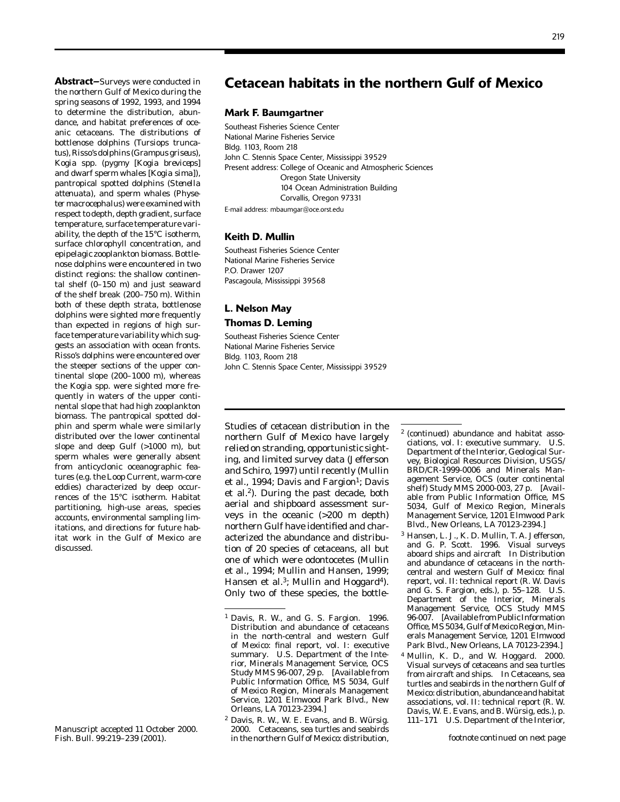219

**Abstract–**Surveys were conducted in the northern Gulf of Mexico during the spring seasons of 1992, 1993, and 1994 to determine the distribution, abundance, and habitat preferences of oceanic cetaceans. The distributions of bottle nose dolphins (*Tursiops truncatus*), Risso's dolphins (*Grampus griseus*), *Kogia* spp. (pygmy [*Kogia breviceps*] and dwarf sperm whales [*Kogia sima*]), pantropical spotted dolphins (*Stenella attenuata*), and sperm whales (*Physeter macrocephalus*) were examined with respect to depth, depth gradient, surface temperature, surface temperature variability, the depth of the 15°C isotherm, surface chlorophyll concentration, and epipelagic zooplankton biomass. Bottlenose dolphins were encountered in two distinct regions: the shallow continental shelf (0–150 m) and just seaward of the shelf break (200–750 m). Within both of these depth strata, bottlenose dolphins were sighted more frequently than expected in regions of high surface temperature variability which suggests an association with ocean fronts. Risso's dolphins were encountered over the steeper sections of the upper continental slope (200–1000 m), whereas the *Kogia* spp. were sighted more frequently in waters of the upper continental slope that had high zooplankton biomass. The pantropical spotted dolphin and sperm whale were similarly distributed over the lower continental slope and deep Gulf (>1000 m), but sperm whales were generally absent from anticyclonic oceanographic features (e.g. the Loop Current, warm-core eddies) characterized by deep occurrences of the 15°C isotherm. Habitat partitioning, high-use areas, species accounts, environmental sampling limitations, and directions for future habitat work in the Gulf of Mexico are discussed.

# **Cetacean habitats in the northern Gulf of Mexico**

# **Mark F. Baumgartner**

Southeast Fisheries Science Center National Marine Fisheries Service Bldg. 1103, Room 218 John C. Stennis Space Center, Mississippi 39529 Present address: College of Oceanic and Atmospheric Sciences Oregon State University 104 Ocean Administration Building Corvallis, Oregon 97331 E-mail address: mbaumgar@oce.orst.edu

# **Keith D. Mullin**

Southeast Fisheries Science Center National Marine Fisheries Service P.O. Drawer 1207 Pascagoula, Mississippi 39568

# **L. Nelson May Thomas D. Leming**

Southeast Fisheries Science Center National Marine Fisheries Service Bldg. 1103, Room 218 John C. Stennis Space Center, Mississippi 39529

Studies of cetacean distribution in the northern Gulf of Mexico have largely relied on stranding, opportunistic sighting, and limited survey data (Jefferson and Schiro, 1997) until recently (Mullin et al., 1994; Davis and Fargion<sup>1</sup>; Davis et al.2). During the past decade, both aerial and shipboard assessment surveys in the oceanic (>200 m depth) northern Gulf have identified and characterized the abundance and distribution of 20 species of cetaceans, all but one of which were odontocetes (Mullin et al., 1994; Mullin and Hansen, 1999; Hansen et al.<sup>3</sup>; Mullin and Hoggard<sup>4</sup>). Only two of these species, the bottle-

2 (*continued*) abundance and habitat associations, vol. I: executive summary. U.S. Department of the Interior, Geological Survey, Biological Resources Division, USGS/ BRD/CR-1999-0006 and Minerals Management Service, OCS (outer continental shelf) Study MMS 2000-003, 27 p. [Available from Public Information Office, MS 5034, Gulf of Mexico Region, Minerals Management Service, 1201 Elmwood Park Blvd., New Orleans, LA 70123-2394.]

- 3 Hansen, L. J., K. D. Mullin, T. A. Jefferson, and G. P. Scott. 1996. Visual surveys aboard ships and aircraft *In* Distribution and abundance of cetaceans in the northcentral and western Gulf of Mexico: final report, vol. II: technical report (R. W. Davis and G. S. Fargion, eds.), p. 55–128. U.S. Department of the Interior, Minerals Management Service, OCS Study MMS 96-007. [Available from Public Information Office, MS 5034, Gulf of Mexico Region, Minerals Management Service, 1201 Elmwood Park Blvd., New Orleans, LA 70123-2394.]
- 4 Mullin, K. D., and W. Hoggard. 2000. Visual surveys of cetaceans and sea turtles from aircraft and ships. *In* Cetaceans, sea turtles and seabirds in the northern Gulf of Mexico: distribution, abundance and habitat associations, vol. II: technical report (R. W. Davis, W. E. Evans, and B. Würsig, eds.), p. 111–171 U.S. Department of the Interior,

*footnote continued on next page*

Manuscript accepted 11 October 2000. Fish. Bull. 99:219–239 (2001).

<sup>1</sup> Davis, R. W., and G. S. Fargion. 1996. Distribution and abundance of cetaceans in the north-central and western Gulf of Mexico: final report, vol. I: executive summary. U.S. Department of the Interior, Minerals Management Service, OCS Study MMS 96-007,  $\widetilde{29}$  p. [Available from Public Information Office, MS 5034, Gulf of Mexico Region, Minerals Management Service, 1201 Elmwood Park Blvd., New Orleans, LA 70123-2394.]

<sup>2</sup> Davis, R. W., W. E. Evans, and B. Würsig. 2000. Cetaceans, sea turtles and seabirds in the northern Gulf of Mexico: distribution,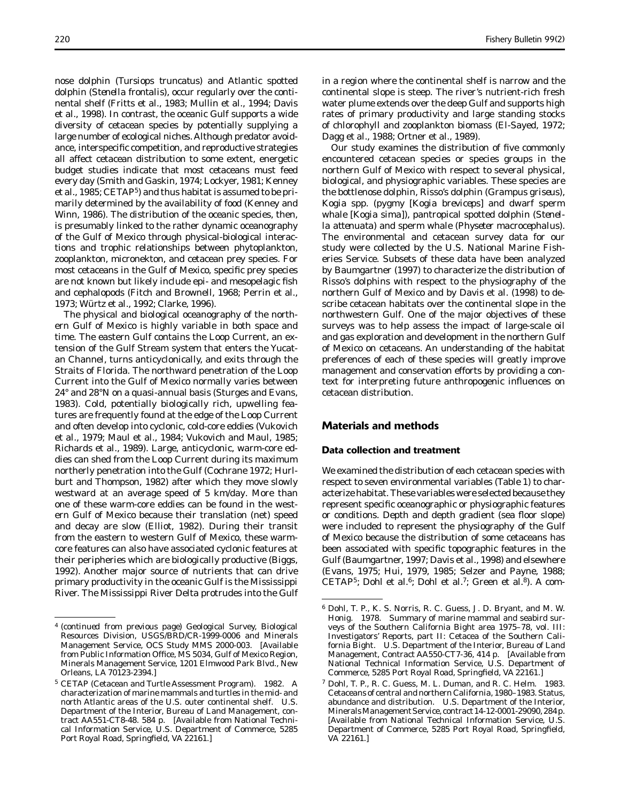nose dolphin (*Tursiops truncatus*) and Atlantic spotted dolphin (*Stenella frontalis*), occur regularly over the continental shelf (Fritts et al., 1983; Mullin et al., 1994; Davis et al., 1998). In contrast, the oceanic Gulf supports a wide diversity of cetacean species by potentially supplying a large number of ecological niches. Although predator avoidance, interspecific competition, and reproductive strategies all affect cetacean distribution to some extent, energetic budget studies indicate that most cetaceans must feed every day (Smith and Gaskin, 1974; Lockyer, 1981; Kenney et al., 1985; CETAP5) and thus habitat is assumed to be primarily determined by the availability of food (Kenney and Winn, 1986). The distribution of the oceanic species, then, is presumably linked to the rather dynamic oceanography of the Gulf of Mexico through physical-biological interactions and trophic relationships between phytoplankton, zooplankton, micronekton, and cetacean prey species. For most cetaceans in the Gulf of Mexico, specific prey species are not known but likely include epi- and mesopelagic fish and cephalopods (Fitch and Brownell, 1968; Perrin et al., 1973; Würtz et al., 1992; Clarke, 1996).

The physical and biological oceanography of the northern Gulf of Mexico is highly variable in both space and time. The eastern Gulf contains the Loop Current, an extension of the Gulf Stream system that enters the Yucatan Channel, turns anticyclonically, and exits through the Straits of Florida. The northward penetration of the Loop Current into the Gulf of Mexico normally varies between 24° and 28°N on a quasi-annual basis (Sturges and Evans, 1983). Cold, potentially biologically rich, upwelling features are frequently found at the edge of the Loop Current and often develop into cyclonic, cold-core eddies (Vukovich et al., 1979; Maul et al., 1984; Vukovich and Maul, 1985; Richards et al., 1989). Large, anticyclonic, warm-core eddies can shed from the Loop Current during its maximum northerly penetration into the Gulf (Cochrane 1972; Hurlburt and Thompson, 1982) after which they move slowly westward at an average speed of 5 km/day. More than one of these warm-core eddies can be found in the western Gulf of Mexico because their translation (net) speed and decay are slow (Elliot, 1982). During their transit from the eastern to western Gulf of Mexico, these warmcore features can also have associated cyclonic features at their peripheries which are biologically productive (Biggs, 1992). Another major source of nutrients that can drive primary productivity in the oceanic Gulf is the Mississippi River. The Mississippi River Delta protrudes into the Gulf in a region where the continental shelf is narrow and the continental slope is steep. The river's nutrient-rich fresh water plume extends over the deep Gulf and supports high rates of primary productivity and large standing stocks of chlorophyll and zooplankton biomass (El-Sayed, 1972; Dagg et al., 1988; Ortner et al., 1989).

Our study examines the distribution of five commonly encountered cetacean species or species groups in the northern Gulf of Mexico with respect to several physical, biological, and physiographic variables. These species are the bottlenose dolphin, Risso's dolphin (*Grampus griseus*), *Kogia* spp. (pygmy [*Kogia breviceps*] and dwarf sperm whale [*Kogia sima*]), pantropical spotted dolphin (*Stenella attenuata*) and sperm whale (*Physeter macrocephalus*). The environmental and cetacean survey data for our study were collected by the U.S. National Marine Fisheries Service. Subsets of these data have been analyzed by Baumgartner (1997) to characterize the distribution of Risso's dolphins with respect to the physiography of the northern Gulf of Mexico and by Davis et al. (1998) to describe cetacean habitats over the continental slope in the northwestern Gulf. One of the major objectives of these surveys was to help assess the impact of large-scale oil and gas exploration and development in the northern Gulf of Mexico on cetaceans. An understanding of the habitat preferences of each of these species will greatly improve management and conservation efforts by providing a context for interpreting future anthropogenic influences on cetacean distribution.

# **Materials and methods**

#### **Data collection and treatment**

We examined the distribution of each cetacean species with respect to seven environmental variables (Table 1) to characterize habitat. These variables were selected because they represent specific oceanographic or physiographic features or conditions. Depth and depth gradient (sea floor slope) were included to represent the physiography of the Gulf of Mexico because the distribution of some cetaceans has been associated with specific topographic features in the Gulf (Baumgartner, 1997; Davis et al., 1998) and elsewhere (Evans, 1975; Hui, 1979, 1985; Selzer and Payne, 1988; CETAP<sup>5</sup>; Dohl et al.<sup>6</sup>; Dohl et al.<sup>7</sup>; Green et al.<sup>8</sup>). A com-

<sup>4 (</sup>*continued from previous page*) Geological Survey, Biological Resources Division, USGS/BRD/CR-1999-0006 and Minerals Management Service, OCS Study MMS 2000-003. [Available from Public Information Office, MS 5034, Gulf of Mexico Region, Minerals Management Service, 1201 Elmwood Park Blvd., New Orleans, LA 70123-2394.]

<sup>5</sup> CETAP (Cetacean and Turtle Assessment Program). 1982. A characterization of marine mammals and turtles in the mid- and north Atlantic areas of the U.S. outer continental shelf. U.S. Department of the Interior, Bureau of Land Management, contract AA551-CT8-48. 584 p. [Available from National Technical Information Service, U.S. Department of Commerce, 5285 Port Royal Road, Springfield, VA 22161.]

<sup>6</sup> Dohl, T. P., K. S. Norris, R. C. Guess, J. D. Bryant, and M. W. Honig. 1978. Summary of marine mammal and seabird surveys of the Southern California Bight area 1975–78, vol. III: Investigators' Reports, part II: Cetacea of the Southern California Bight. U.S. Department of the Interior, Bureau of Land Management, Contract AA550-CT7-36, 414 p. [Available from National Technical Information Service, U.S. Department of Commerce, 5285 Port Royal Road, Springfield, VA 22161.]

<sup>7</sup> Dohl, T. P., R. C. Guess, M. L. Duman, and R. C. Helm. 1983. Cetaceans of central and northern California, 1980–1983. Status, abundance and distribution. U.S. Department of the Interior, Minerals Management Service, contract 14-12-0001-29090, 284 p. [Available from National Technical Information Service, U.S. Department of Commerce, 5285 Port Royal Road, Springfield, VA 22161.]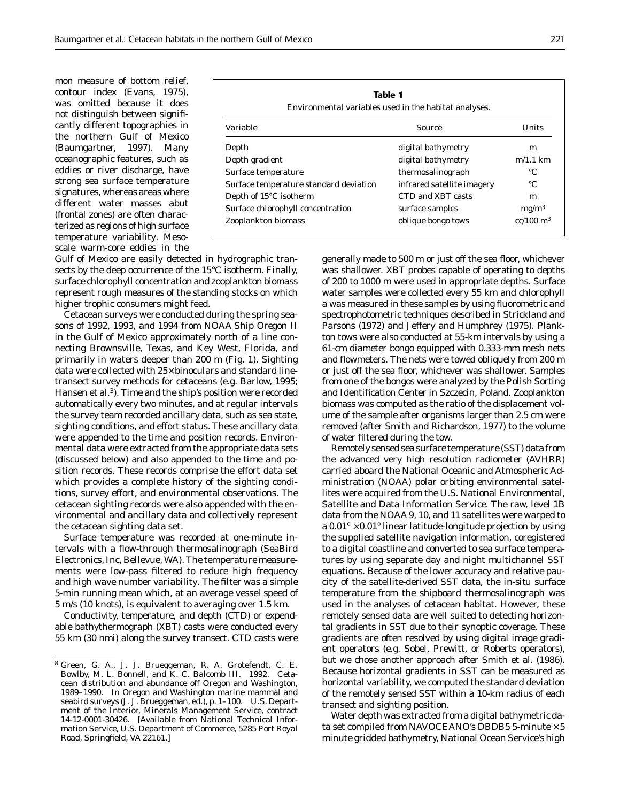mon measure of bottom relief, contour index (Evans, 1975), was omitted because it does not distinguish between significantly different topographies in the northern Gulf of Mexico (Baumgartner, 1997). Many oceanographic features, such as eddies or river discharge, have strong sea surface temperature signatures, whereas areas where different water masses abut (frontal zones) are often characterized as regions of high surface temperature variability. Mesoscale warm-core eddies in the

| Table 1<br>Environmental variables used in the habitat analyses. |                          |  |  |  |  |
|------------------------------------------------------------------|--------------------------|--|--|--|--|
| Source                                                           | <b>Units</b>             |  |  |  |  |
| digital bathymetry                                               | m                        |  |  |  |  |
| digital bathymetry                                               | $m/1.1$ km               |  |  |  |  |
| thermosalinograph                                                | °C                       |  |  |  |  |
| infrared satellite imagery                                       | °C                       |  |  |  |  |
| CTD and XBT casts                                                | m                        |  |  |  |  |
| surface samples                                                  | mg/m <sup>3</sup>        |  |  |  |  |
| oblique bongo tows                                               | $cc/100 \; \mathrm{m}^3$ |  |  |  |  |
|                                                                  |                          |  |  |  |  |

Gulf of Mexico are easily detected in hydrographic transects by the deep occurrence of the 15°C isotherm. Finally, surface chlorophyll concentration and zooplankton biomass represent rough measures of the standing stocks on which higher trophic consumers might feed.

Cetacean surveys were conducted during the spring seasons of 1992, 1993, and 1994 from NOAA Ship *Oregon II* in the Gulf of Mexico approximately north of a line connecting Brownsville, Texas, and Key West, Florida, and primarily in waters deeper than 200 m (Fig. 1). Sighting data were collected with  $25<sup>c</sup>$  binoculars and standard linetransect survey methods for cetaceans (e.g. Barlow, 1995; Hansen et al.3). Time and the ship's position were recorded automatically every two minutes, and at regular intervals the survey team recorded ancillary data, such as sea state, sighting conditions, and effort status. These ancillary data were appended to the time and position records. Environmental data were extracted from the appropriate data sets (discussed below) and also appended to the time and position records. These records comprise the effort data set which provides a complete history of the sighting conditions, survey effort, and environmental observations. The cetacean sighting records were also appended with the environmental and ancillary data and collectively represent the cetacean sighting data set.

Surface temperature was recorded at one-minute intervals with a flow-through thermosalinograph (SeaBird Electronics, Inc, Bellevue, WA). The temperature measurements were low-pass filtered to reduce high frequency and high wave number variability. The filter was a simple 5-min running mean which, at an average vessel speed of 5 m/s (10 knots), is equivalent to averaging over 1.5 km.

Conductivity, temperature, and depth (CTD) or expendable bathythermograph (XBT) casts were conducted every 55 km (30 nmi) along the survey transect. CTD casts were generally made to 500 m or just off the sea floor, whichever was shallower. XBT probes capable of operating to depths of 200 to 1000 m were used in appropriate depths. Surface water samples were collected every 55 km and chlorophyll *a* was measured in these samples by using fluorometric and spectrophotometric techniques described in Strickland and Parsons (1972) and Jeffery and Humphrey (1975). Plankton tows were also conducted at 55-km intervals by using a 61-cm diameter bongo equipped with 0.333-mm mesh nets and flowmeters. The nets were towed obliquely from 200 m or just off the sea floor, whichever was shallower. Samples from one of the bongos were analyzed by the Polish Sorting and Identification Center in Szczecin, Poland. Zooplankton biomass was computed as the ratio of the displacement volume of the sample after organisms larger than 2.5 cm were removed (after Smith and Richardson, 1977) to the volume of water filtered during the tow.

Remotely sensed sea surface temperature (SST) data from the advanced very high resolution radiometer (AVHRR) carried aboard the National Oceanic and Atmospheric Administration (NOAA) polar orbiting environmental satellites were acquired from the U.S. National Environmental, Satellite and Data Information Service. The raw, level 1B data from the NOAA 9, 10, and 11 satellites were warped to a  $0.01^\circ \cdot 0.01^\circ$  linear latitude-longitude projection by using the supplied satellite navigation information, coregistered to a digital coastline and converted to sea surface temperatures by using separate day and night multichannel SST equations. Because of the lower accuracy and relative paucity of the satellite-derived SST data, the *in-situ* surface temperature from the shipboard thermosalinograph was used in the analyses of cetacean habitat. However, these remotely sensed data are well suited to detecting horizontal gradients in SST due to their synoptic coverage. These gradients are often resolved by using digital image gradient operators (e.g. Sobel, Prewitt, or Roberts operators), but we chose another approach after Smith et al. (1986). Because horizontal gradients in SST can be measured as horizontal variability, we computed the standard deviation of the remotely sensed SST within a 10-km radius of each transect and sighting position.

Water depth was extracted from a digital bathymetric data set compiled from NAVOCEANO's DBDB5 5-minute  $\cdot$  5 minute gridded bathymetry, National Ocean Service's high

<sup>8</sup> Green, G. A., J. J. Brueggeman, R. A. Grotefendt, C. E. Bowlby, M. L. Bonnell, and K. C. Balcomb III. 1992. Cetacean distribution and abundance off Oregon and Washington, 1989–1990. *In* Oregon and Washington marine mammal and seabird surveys (J. J. Brueggeman, ed.), p. 1–100. U.S. Department of the Interior, Minerals Management Service, contract 14-12-0001-30426. [Available from National Technical Information Service, U.S. Department of Commerce, 5285 Port Royal Road, Springfield, VA 22161.]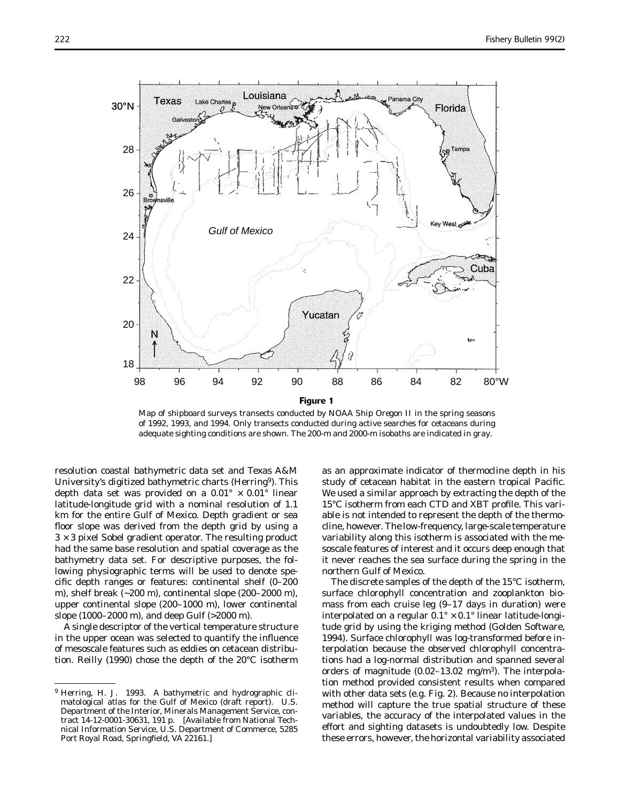

Map of shipboard surveys transects conducted by NOAA Ship *Oregon II* in the spring seasons of 1992, 1993, and 1994. Only transects conducted during active searches for cetaceans during adequate sighting conditions are shown. The 200-m and 2000-m isobaths are indicated in gray.

resolution coastal bathymetric data set and Texas A&M University's digitized bathymetric charts (Herring9). This depth data set was provided on a  $0.01^{\circ}$   $\cdot$  0.01° linear latitude-longitude grid with a nominal resolution of 1.1 km for the entire Gulf of Mexico. Depth gradient or sea floor slope was derived from the depth grid by using a 3 × 3 pixel Sobel gradient operator. The resulting product had the same base resolution and spatial coverage as the bathymetry data set. For descriptive purposes, the following physiographic terms will be used to denote specific depth ranges or features: continental shelf  $(0-200)$ m), shelf break (~200 m), continental slope (200–2000 m), upper continental slope (200–1000 m), lower continental slope (1000–2000 m), and deep Gulf (>2000 m).

A single descriptor of the vertical temperature structure in the upper ocean was selected to quantify the influence of mesoscale features such as eddies on cetacean distribution. Reilly (1990) chose the depth of the 20°C isotherm

as an approximate indicator of thermocline depth in his study of cetacean habitat in the eastern tropical Pacific. We used a similar approach by extracting the depth of the 15<sup>°</sup>C isotherm from each CTD and XBT profile. This variable is not intended to represent the depth of the thermocline, however. The low-frequency, large-scale temperature variability along this isotherm is associated with the mesoscale features of interest and it occurs deep enough that it never reaches the sea surface during the spring in the northern Gulf of Mexico.

The discrete samples of the depth of the 15°C isotherm, surface chlorophyll concentration and zooplankton biomass from each cruise leg (9–17 days in duration) were interpolated on a regular  $0.1^\circ \cdot 0.1^\circ$  linear latitude-longitude grid by using the kriging method (Golden Software, 1994). Surface chlorophyll was log-transformed before interpolation because the observed chlorophyll concentrations had a log-normal distribution and spanned several orders of magnitude  $(0.02-13.02 \text{ mg/m}^3)$ . The interpolation method provided consistent results when compared with other data sets (e.g. Fig. 2). Because no interpolation method will capture the true spatial structure of these variables, the accuracy of the interpolated values in the effort and sighting datasets is undoubtedly low. Despite these errors, however, the horizontal variability associated

<sup>&</sup>lt;sup>9</sup> Herring, H. J. 1993. A bathymetric and hydrographic climatological atlas for the Gulf of Mexico (draft report). U.S. Department of the Interior, Minerals Management Service, contract 14-12-0001-30631, 191 p. [Available from National Technical Information Service, U.S. Department of Commerce, 5285 Port Royal Road, Springfield, VA 22161.]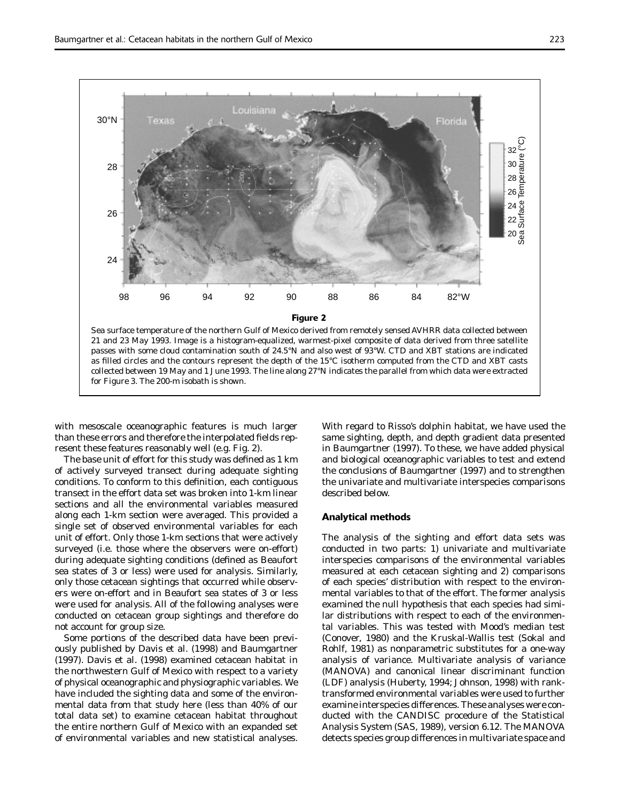

with mesoscale oceanographic features is much larger than these errors and therefore the interpolated fields represent these features reasonably well (e.g. Fig. 2).

The base unit of effort for this study was defined as 1 km of actively surveyed transect during adequate sighting conditions. To conform to this definition, each contiguous transect in the effort data set was broken into 1-km linear sections and all the environmental variables measured along each 1-km section were averaged. This provided a single set of observed environmental variables for each unit of effort. Only those 1-km sections that were actively surveyed (i.e. those where the observers were on-effort) during adequate sighting conditions (defined as Beaufort sea states of 3 or less) were used for analysis. Similarly, only those cetacean sightings that occurred while observers were on-effort and in Beaufort sea states of 3 or less were used for analysis. All of the following analyses were conducted on cetacean group sightings and therefore do not account for group size.

Some portions of the described data have been previously published by Davis et al. (1998) and Baumgartner (1997). Davis et al. (1998) examined cetacean habitat in the northwestern Gulf of Mexico with respect to a variety of physical oceanographic and physiographic variables. We have included the sighting data and some of the environmental data from that study here (less than 40% of our total data set) to examine cetacean habitat throughout the entire northern Gulf of Mexico with an expanded set of environmental variables and new statistical analyses.

With regard to Risso's dolphin habitat, we have used the same sighting, depth, and depth gradient data presented in Baumgartner (1997). To these, we have added physical and biological oceanographic variables to test and extend the conclusions of Baumgartner (1997) and to strengthen the univariate and multivariate interspecies comparisons described below.

### **Analytical methods**

The analysis of the sighting and effort data sets was conducted in two parts: 1) univariate and multivariate interspecies comparisons of the environmental variables measured at each cetacean sighting and 2) comparisons of each species' distribution with respect to the environmental variables to that of the effort. The former analysis examined the null hypothesis that each species had similar distributions with respect to each of the environmental variables. This was tested with Mood's median test (Conover, 1980) and the Kruskal-Wallis test (Sokal and Rohlf, 1981) as nonparametric substitutes for a one-way analysis of variance. Multivariate analysis of variance (MANOVA) and canonical linear discriminant function (LDF) analysis (Huberty, 1994; Johnson, 1998) with ranktransformed environmental variables were used to further examine interspecies differences. These analyses were conducted with the CANDISC procedure of the Statistical Analysis System (SAS, 1989), version 6.12. The MANOVA detects species group differences in multivariate space and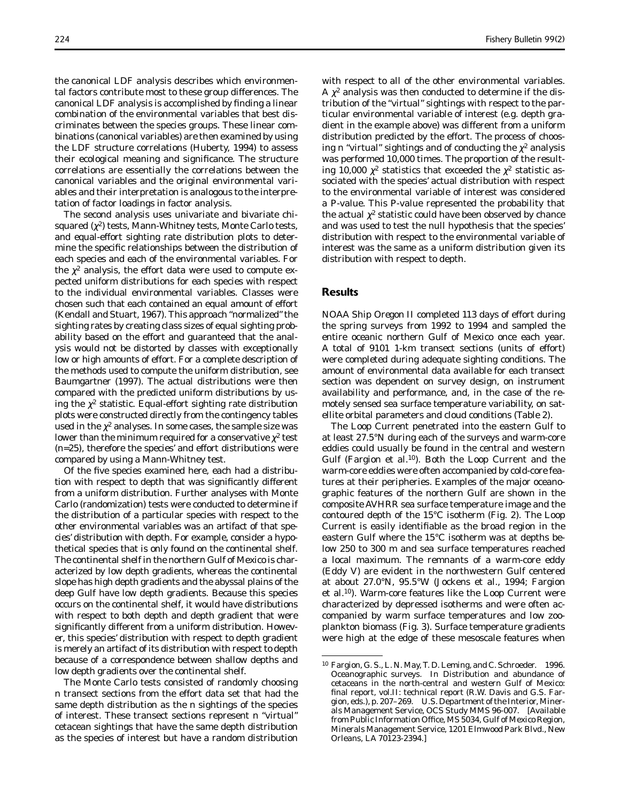the canonical LDF analysis describes which environmental factors contribute most to these group differences. The canonical LDF analysis is accomplished by finding a linear combination of the environmental variables that best discriminates between the species groups. These linear combinations (canonical variables) are then examined by using the LDF structure correlations (Huberty, 1994) to assess their ecological meaning and significance. The structure correlations are essentially the correlations between the canonical variables and the original environmental variables and their interpretation is analogous to the interpretation of factor loadings in factor analysis.

The second analysis uses univariate and bivariate chisquared  $(\chi^2)$  tests, Mann-Whitney tests, Monte Carlo tests, and equal-effort sighting rate distribution plots to determine the specific relationships between the distribution of each species and each of the environmental variables. For the  $\chi^2$  analysis, the effort data were used to compute expected uniform distributions for each species with respect to the individual environmental variables. Classes were chosen such that each contained an equal amount of effort (Kendall and Stuart, 1967). This approach "normalized" the sighting rates by creating class sizes of equal sighting probability based on the effort and guaranteed that the analysis would not be distorted by classes with exceptionally low or high amounts of effort. For a complete description of the methods used to compute the uniform distribution, see Baumgartner (1997). The actual distributions were then compared with the predicted uniform distributions by using the  $\chi^2$  statistic. Equal-effort sighting rate distribution plots were constructed directly from the contingency tables used in the  $\chi^2$  analyses. In some cases, the sample size was lower than the minimum required for a conservative  $\chi^2$  test (*n*=25), therefore the species' and effort distributions were compared by using a Mann-Whitney test.

Of the five species examined here, each had a distribution with respect to depth that was significantly different from a uniform distribution. Further analyses with Monte Carlo (randomization) tests were conducted to determine if the distribution of a particular species with respect to the other environmental variables was an artifact of that species' distribution with depth. For example, consider a hypothetical species that is only found on the continental shelf. The continental shelf in the northern Gulf of Mexico is characterized by low depth gradients, whereas the continental slope has high depth gradients and the abyssal plains of the deep Gulf have low depth gradients. Because this species occurs on the continental shelf, it would have distributions with respect to both depth and depth gradient that were significantly different from a uniform distribution. However, this species' distribution with respect to depth gradient is merely an artifact of its distribution with respect to depth because of a correspondence between shallow depths and low depth gradients over the continental shelf.

The Monte Carlo tests consisted of randomly choosing *n* transect sections from the effort data set that had the same depth distribution as the *n* sightings of the species of interest. These transect sections represent *n* "virtual" cetacean sightings that have the same depth distribution as the species of interest but have a random distribution

with respect to all of the other environmental variables. A  $\chi^2$  analysis was then conducted to determine if the distribution of the "virtual" sightings with respect to the particular environmental variable of interest (e.g. depth gradient in the example above) was different from a uniform distribution predicted by the effort. The process of choosing *n* "virtual" sightings and of conducting the  $\chi^2$  analysis was performed 10,000 times. The proportion of the resulting 10,000  $\chi^2$  statistics that exceeded the  $\chi^2$  statistic associated with the species' actual distribution with respect to the environmental variable of interest was considered a *P*-value. This *P*-value represented the probability that the actual  $\chi^2$  statistic could have been observed by chance and was used to test the null hypothesis that the species' distribution with respect to the environmental variable of interest was the same as a uniform distribution given its distribution with respect to depth.

# **Results**

NOAA Ship *Oregon II* completed 113 days of effort during the spring surveys from 1992 to 1994 and sampled the entire oceanic northern Gulf of Mexico once each year. A total of 9101 1-km transect sections (units of effort) were completed during adequate sighting conditions. The amount of environmental data available for each transect section was dependent on survey design, on instrument availability and performance, and, in the case of the remotely sensed sea surface temperature variability, on satellite orbital parameters and cloud conditions (Table 2).

The Loop Current penetrated into the eastern Gulf to at least 27.5°N during each of the surveys and warm-core eddies could usually be found in the central and western Gulf (Fargion et al.<sup>10</sup>). Both the Loop Current and the warm-core eddies were often accompanied by cold-core features at their peripheries. Examples of the major oceanographic features of the northern Gulf are shown in the composite AVHRR sea surface temperature image and the contoured depth of the 15°C isotherm (Fig. 2). The Loop Current is easily identifiable as the broad region in the eastern Gulf where the 15°C isotherm was at depths below 250 to 300 m and sea surface temperatures reached a local maximum. The remnants of a warm-core eddy (Eddy V) are evident in the northwestern Gulf centered at about 27.0°N, 95.5°W (Jockens et al., 1994; Fargion et al.10). Warm-core features like the Loop Current were characterized by depressed isotherms and were often accompanied by warm surface temperatures and low zooplankton biomass (Fig. 3). Surface temperature gradients were high at the edge of these mesoscale features when

<sup>10</sup> Fargion, G. S., L. N. May, T. D. Leming, and C. Schroeder. 1996. Oceanographic surveys. *In* Distribution and abundance of cetaceans in the north-central and western Gulf of Mexico: final report, vol.II: technical report (R.W. Davis and G.S. Fargion, eds.), p. 207–269. U.S. Department of the Interior, Minerals Management Service, OCS Study MMS 96-007. [Available from Public Information Office, MS 5034, Gulf of Mexico Region, Minerals Management Service, 1201 Elmwood Park Blvd., New Orleans, LA 70123-2394.]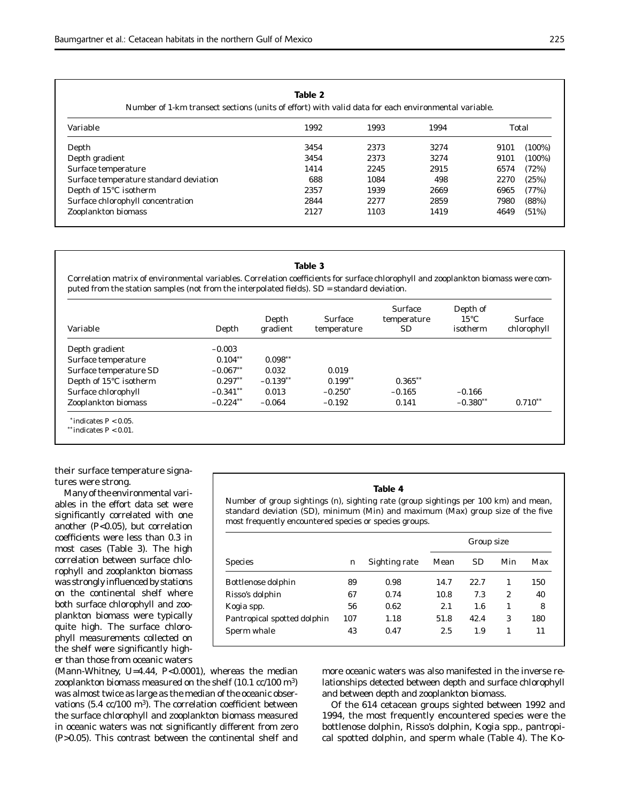# **Table 2**

Number of 1-km transect sections (units of effort) with valid data for each environmental variable.

| Variable                               | 1992 | 1993 | 1994 | Total |           |  |
|----------------------------------------|------|------|------|-------|-----------|--|
| Depth                                  | 3454 | 2373 | 3274 | 9101  | $(100\%)$ |  |
| Depth gradient                         | 3454 | 2373 | 3274 | 9101  | $(100\%)$ |  |
| Surface temperature                    | 1414 | 2245 | 2915 | 6574  | (72%)     |  |
| Surface temperature standard deviation | 688  | 1084 | 498  | 2270  | (25%)     |  |
| Depth of 15°C isotherm                 | 2357 | 1939 | 2669 | 6965  | (77%)     |  |
| Surface chlorophyll concentration      | 2844 | 2277 | 2859 | 7980  | (88%)     |  |
| Zooplankton biomass                    | 2127 | 1103 | 1419 | 4649  | (51%)     |  |

#### **Table 3**

Correlation matrix of environmental variables. Correlation coefficients for surface chlorophyll and zooplankton biomass were computed from the station samples (not from the interpolated fields). SD = standard deviation.

| Variable                   | Depth       | Depth<br>gradient | <b>Surface</b><br>temperature | <b>Surface</b><br>temperature<br><b>SD</b> | Depth of<br>$15^{\circ}$ C<br>isotherm | <b>Surface</b><br>chlorophyll |
|----------------------------|-------------|-------------------|-------------------------------|--------------------------------------------|----------------------------------------|-------------------------------|
| Depth gradient             | $-0.003$    |                   |                               |                                            |                                        |                               |
| Surface temperature        | $0.104**$   | $0.098***$        |                               |                                            |                                        |                               |
| Surface temperature SD     | $-0.067**$  | 0.032             | 0.019                         |                                            |                                        |                               |
| Depth of 15°C isotherm     | $0.297**$   | $-0.139**$        | $0.199**$                     | $0.365**$                                  |                                        |                               |
| Surface chlorophyll        | $-0.341$ ** | 0.013             | $-0.250*$                     | $-0.165$                                   | $-0.166$                               |                               |
| Zooplankton biomass        | $-0.224$ ** | $-0.064$          | $-0.192$                      | 0.141                                      | $-0.380**$                             | $0.710***$                    |
| $*$ indicates $P < 0.05$ . |             |                   |                               |                                            |                                        |                               |

\*\* indicates *P* < 0.01.

their surface temperature signatures were strong.

Many of the environmental variables in the effort data set were significantly correlated with one another (*P*<0.05), but correlation coefficients were less than 0.3 in most cases (Table 3). The high correlation between surface chlorophyll and zooplankton biomass was strongly influenced by stations on the continental shelf where both surface chlorophyll and zooplankton biomass were typically quite high. The surface chlorophyll measurements collected on the shelf were significantly higher than those from oceanic waters **Table 4**

Number of group sightings (*n*), sighting rate (group sightings per 100 km) and mean, standard deviation (SD), minimum (Min) and maximum (Max) group size of the five most frequently encountered species or species groups.

|                             |     |               | Group size |           |                |     |  |
|-----------------------------|-----|---------------|------------|-----------|----------------|-----|--|
| <b>Species</b>              | n   | Sighting rate | Mean       | <b>SD</b> | Min            | Max |  |
| Bottlenose dolphin          | 89  | 0.98          | 14.7       | 22.7      | 1              | 150 |  |
| Risso's dolphin             | 67  | 0.74          | 10.8       | 7.3       | $\overline{2}$ | 40  |  |
| <i>Kogia</i> spp.           | 56  | 0.62          | 2.1        | 1.6       |                | 8   |  |
| Pantropical spotted dolphin | 107 | 1.18          | 51.8       | 42.4      | 3              | 180 |  |
| Sperm whale                 | 43  | 0.47          | 2.5        | 1.9       | 1              | 11  |  |

(Mann-Whitney, *U*=4.44, *P*<0.0001), whereas the median zooplankton biomass measured on the shelf  $(10.1 \text{ cc}/100 \text{ m}^3)$ was almost twice as large as the median of the oceanic observations  $(5.4 \text{ cc}/100 \text{ m}^3)$ . The correlation coefficient between the surface chlorophyll and zooplankton biomass measured in oceanic waters was not significantly different from zero (*P*>0.05). This contrast between the continental shelf and

more oceanic waters was also manifested in the inverse relationships detected between depth and surface chlorophyll and between depth and zooplankton biomass.

Of the 614 cetacean groups sighted between 1992 and 1994, the most frequently encountered species were the bottlenose dolphin, Risso's dolphin, *Kogia* spp., pantropical spotted dolphin, and sperm whale (Table 4). The *Ko-*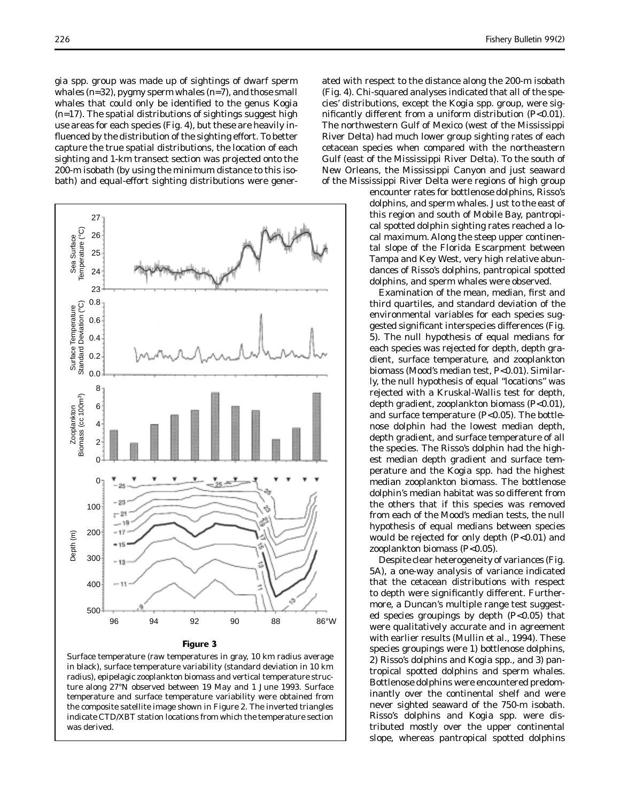*gia* spp. group was made up of sightings of dwarf sperm whales (*n*=32), pygmy sperm whales (*n*=7), and those small whales that could only be identified to the genus *Kogia* (*n*=17). The spatial distributions of sightings suggest high use areas for each species (Fig. 4), but these are heavily influenced by the distribution of the sighting effort. To better capture the true spatial distributions, the location of each sighting and 1-km transect section was projected onto the 200-m isobath (by using the minimum distance to this isobath) and equal-effort sighting distributions were gener-



#### **Figure 3**

Surface temperature (raw temperatures in gray, 10 km radius average in black), surface temperature variability (standard deviation in 10 km radius), epipelagic zooplankton biomass and vertical temperature structure along 27°N observed between 19 May and 1 June 1993. Surface temperature and surface temperature variability were obtained from the composite satellite image shown in Figure 2. The inverted triangles indicate CTD/XBT station locations from which the temperature section was derived.

ated with respect to the distance along the 200-m isobath (Fig. 4). Chi-squared analyses indicated that all of the species' distributions, except the *Kogia* spp. group, were significantly different from a uniform distribution (*P*<0.01). The northwestern Gulf of Mexico (west of the Mississippi River Delta) had much lower group sighting rates of each cetacean species when compared with the northeastern Gulf (east of the Mississippi River Delta). To the south of New Orleans, the Mississippi Canyon and just seaward of the Mississippi River Delta were regions of high group

> encounter rates for bottlenose dolphins, Risso's dolphins, and sperm whales. Just to the east of this region and south of Mobile Bay, pantropical spotted dolphin sighting rates reached a local maximum. Along the steep upper continental slope of the Florida Escarpment between Tampa and Key West, very high relative abundances of Risso's dolphins, pantropical spotted dolphins, and sperm whales were observed.

> Examination of the mean, median, first and third quartiles, and standard deviation of the environmental variables for each species suggested significant interspecies differences (Fig. 5). The null hypothesis of equal medians for each species was rejected for depth, depth gradient, surface temperature, and zooplankton biomass (Mood's median test, *P*<0.01). Similarly, the null hypothesis of equal "locations" was rejected with a Kruskal-Wallis test for depth, depth gradient, zooplankton biomass (*P*<0.01), and surface temperature (*P*<0.05). The bottlenose dolphin had the lowest median depth, depth gradient, and surface temperature of all the species. The Risso's dolphin had the highest median depth gradient and surface temperature and the *Kogia* spp. had the highest median zooplankton biomass. The bottlenose dolphin's median habitat was so different from the others that if this species was removed from each of the Mood's median tests, the null hypothesis of equal medians between species would be rejected for only depth (*P*<0.01) and zooplankton biomass (*P*<0.05).

> Despite clear heterogeneity of variances (Fig. 5A), a one-way analysis of variance indicated that the cetacean distributions with respect to depth were significantly different. Furthermore, a Duncan's multiple range test suggested species groupings by depth (*P*<0.05) that were qualitatively accurate and in agreement with earlier results (Mullin et al., 1994). These species groupings were 1) bottlenose dolphins, 2) Risso's dolphins and *Kogia* spp., and 3) pantropical spotted dolphins and sperm whales. Bottlenose dolphins were encountered predominantly over the continental shelf and were never sighted seaward of the 750-m isobath. Risso's dolphins and *Kogia* spp. were distributed mostly over the upper continental slope, whereas pantropical spotted dolphins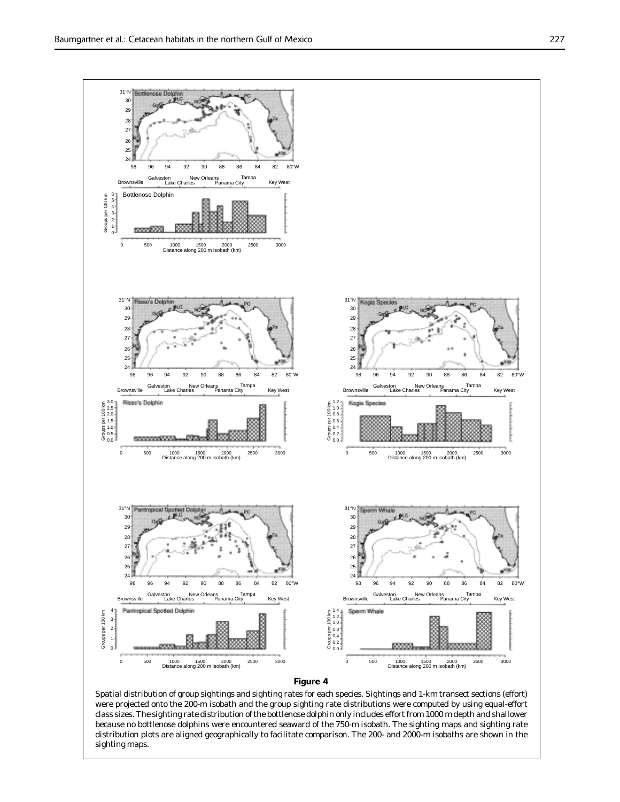

#### **Figure 4**

Spatial distribution of group sightings and sighting rates for each species. Sightings and 1-km transect sections (effort) were projected onto the 200-m isobath and the group sighting rate distributions were computed by using equal-effort class sizes. The sighting rate distribution of the bottlenose dolphin only includes effort from 1000 m depth and shallower because no bottlenose dolphins were encountered seaward of the 750-m isobath. The sighting maps and sighting rate distribution plots are aligned geographically to facilitate comparison. The 200- and 2000-m isobaths are shown in the sighting maps.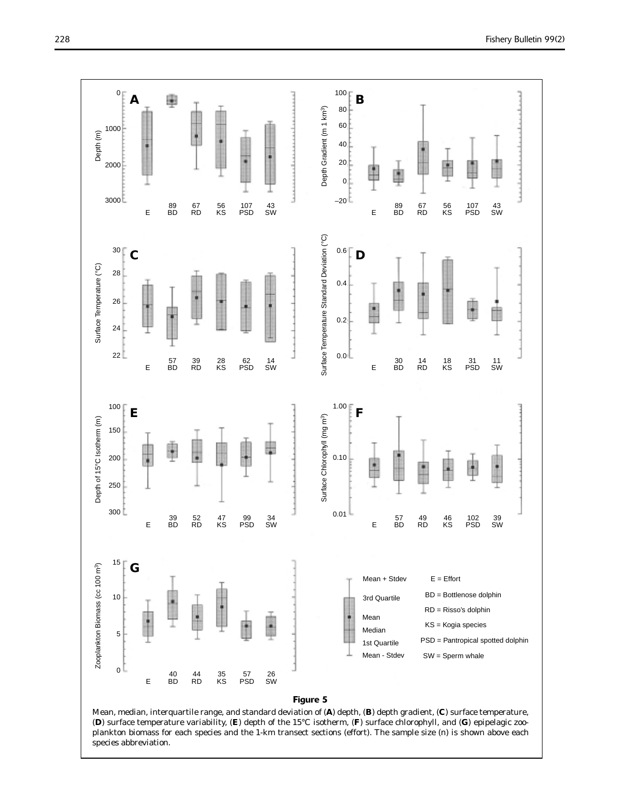

Mean, median, interquartile range, and standard deviation of (**A**) depth, (**B**) depth gradient, (**C**) surface temperature, (**D**) surface temperature variability, (**E**) depth of the 15°C isotherm, (**F**) surface chlorophyll, and (**G**) epipelagic zooplankton biomass for each species and the 1-km transect sections (effort). The sample size (*n*) is shown above each species abbreviation.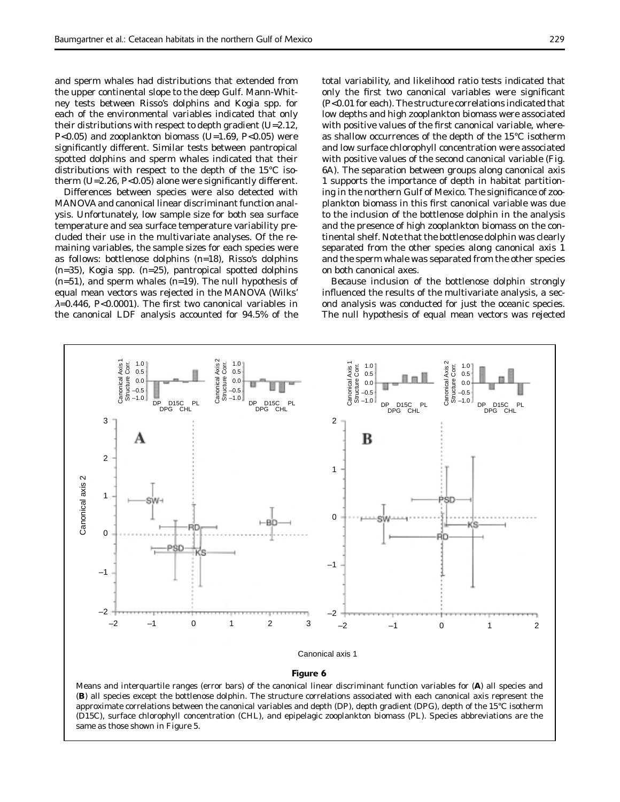and sperm whales had distributions that extended from the upper continental slope to the deep Gulf. Mann-Whitney tests between Risso's dolphins and *Kogia* spp. for each of the environmental variables indicated that only their distributions with respect to depth gradient (*U*=2.12, *P*<0.05) and zooplankton biomass (*U*=1.69, *P*<0.05) were significantly different. Similar tests between pantropical spotted dolphins and sperm whales indicated that their distributions with respect to the depth of the 15°C isotherm  $(U=2.26, P<0.05)$  alone were significantly different.

Differences between species were also detected with MANOVA and canonical linear discriminant function analysis. Unfortunately, low sample size for both sea surface temperature and sea surface temperature variability precluded their use in the multivariate analyses. Of the remaining variables, the sample sizes for each species were as follows: bottlenose dolphins (*n*=18), Risso's dolphins (*n*=35), *Kogia* spp. (*n*=25), pantropical spotted dolphins (*n*=51), and sperm whales (*n*=19). The null hypothesis of equal mean vectors was rejected in the MANOVA (Wilks'  $\lambda$ =0.446, *P*<0.0001). The first two canonical variables in the canonical LDF analysis accounted for 94.5% of the

total variability, and likelihood ratio tests indicated that only the first two canonical variables were significant (*P*<0.01 for each). The structure correlations indicated that low depths and high zooplankton biomass were associated with positive values of the first canonical variable, whereas shallow occurrences of the depth of the 15°C isotherm and low surface chlorophyll concentration were associated with positive values of the second canonical variable (Fig. 6A). The separation between groups along canonical axis 1 supports the importance of depth in habitat partitioning in the northern Gulf of Mexico. The significance of zooplankton biomass in this first canonical variable was due to the inclusion of the bottlenose dolphin in the analysis and the presence of high zooplankton biomass on the continental shelf. Note that the bottlenose dolphin was clearly separated from the other species along canonical axis 1 and the sperm whale was separated from the other species on both canonical axes.

Because inclusion of the bottlenose dolphin strongly influenced the results of the multivariate analysis, a second analysis was conducted for just the oceanic species. The null hypothesis of equal mean vectors was rejected



### **Figure 6**

Means and interquartile ranges (error bars) of the canonical linear discriminant function variables for (**A**) all species and (**B**) all species except the bottlenose dolphin. The structure correlations associated with each canonical axis represent the approximate correlations between the canonical variables and depth (DP), depth gradient (DPG), depth of the 15°C isotherm (D15C), surface chlorophyll concentration (CHL), and epipelagic zooplankton biomass (PL). Species abbreviations are the same as those shown in Figure 5.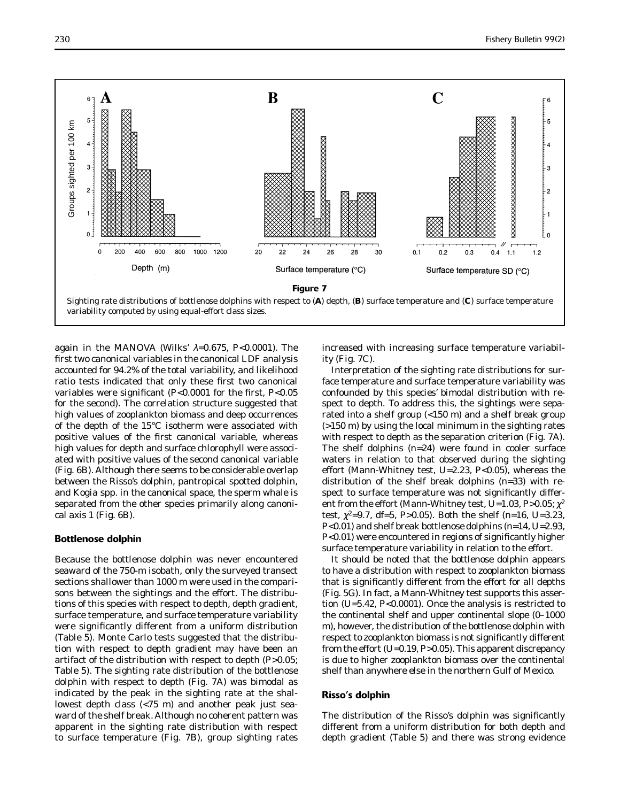

again in the MANOVA (Wilks' λ=0.675, *P*<0.0001). The first two canonical variables in the canonical LDF analysis accounted for 94.2% of the total variability, and likelihood ratio tests indicated that only these first two canonical variables were significant  $(P<0.0001$  for the first,  $P<0.05$ for the second). The correlation structure suggested that high values of zooplankton biomass and deep occurrences of the depth of the 15°C isotherm were associated with positive values of the first canonical variable, whereas high values for depth and surface chlorophyll were associated with positive values of the second canonical variable (Fig. 6B). Although there seems to be considerable overlap between the Risso's dolphin, pantropical spotted dolphin, and *Kogia* spp. in the canonical space, the sperm whale is separated from the other species primarily along canonical axis 1 (Fig. 6B).

### **Bottlenose dolphin**

Because the bottlenose dolphin was never encountered seaward of the 750-m isobath, only the surveyed transect sections shallower than 1000 m were used in the comparisons between the sightings and the effort. The distributions of this species with respect to depth, depth gradient, surface temperature, and surface temperature variability were significantly different from a uniform distribution (Table 5). Monte Carlo tests suggested that the distribution with respect to depth gradient may have been an artifact of the distribution with respect to depth (*P*>0.05; Table 5). The sighting rate distribution of the bottlenose dolphin with respect to depth (Fig. 7A) was bimodal as indicated by the peak in the sighting rate at the shallowest depth class (<75 m) and another peak just seaward of the shelf break. Although no coherent pattern was apparent in the sighting rate distribution with respect to surface temperature (Fig. 7B), group sighting rates

increased with increasing surface temperature variability (Fig. 7C).

Interpretation of the sighting rate distributions for surface temperature and surface temperature variability was confounded by this species' bimodal distribution with respect to depth. To address this, the sightings were separated into a shelf group (<150 m) and a shelf break group (>150 m) by using the local minimum in the sighting rates with respect to depth as the separation criterion (Fig. 7A). The shelf dolphins (*n*=24) were found in cooler surface waters in relation to that observed during the sighting effort (Mann-Whitney test, *U*=2.23, *P*<0.05), whereas the distribution of the shelf break dolphins (*n*=33) with respect to surface temperature was not significantly different from the effort (Mann-Whitney test,  $U=1.03$ ,  $P>0.05$ ;  $\chi^2$ test,  $\chi^2$ =9.7, df=5, *P*>0.05). Both the shelf (*n*=16, *U*=3.23, *P*<0.01) and shelf break bottlenose dolphins (*n*=14, *U*=2.93, *P*<0.01) were encountered in regions of significantly higher surface temperature variability in relation to the effort.

It should be noted that the bottlenose dolphin appears to have a distribution with respect to zooplankton biomass that is significantly different from the effort for all depths (Fig. 5G). In fact, a Mann-Whitney test supports this assertion (*U*=5.42, *P*<0.0001). Once the analysis is restricted to the continental shelf and upper continental slope (0–1000 m), however, the distribution of the bottlenose dolphin with respect to zooplankton biomass is not significantly different from the effort (*U*=0.19, *P*>0.05). This apparent discrepancy is due to higher zooplankton biomass over the continental shelf than anywhere else in the northern Gulf of Mexico.

### **Risso's dolphin**

The distribution of the Risso's dolphin was significantly different from a uniform distribution for both depth and depth gradient (Table 5) and there was strong evidence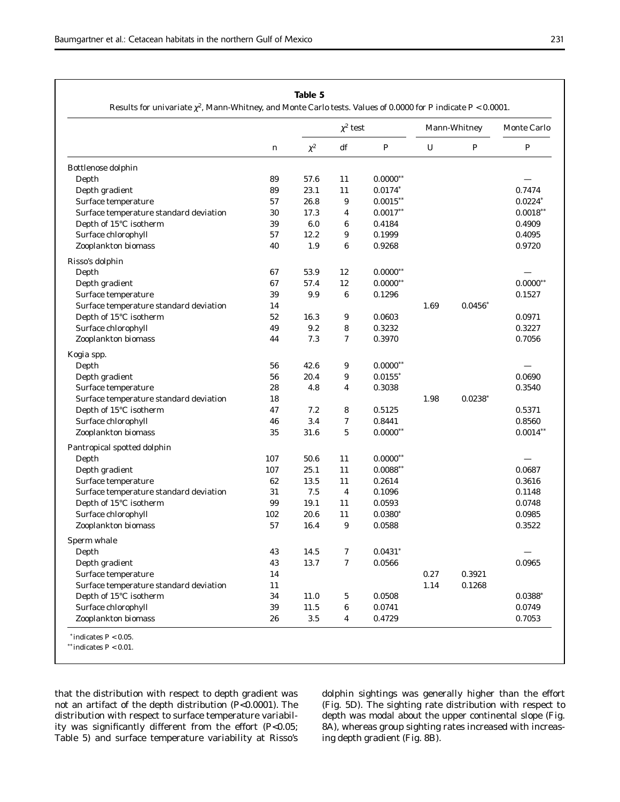# **Table 5**

Results for univariate χ2, Mann-Whitney, and Monte Carlo tests. Values of 0.0000 for *P* indicate *P* < 0.0001.

|                                        | $\boldsymbol{n}$ | $\chi^2$ test |                         |                       | Mann-Whitney     |                  | Monte Carlo      |  |
|----------------------------------------|------------------|---------------|-------------------------|-----------------------|------------------|------------------|------------------|--|
|                                        |                  | $\chi^2$      | df                      | $\cal P$              | $\boldsymbol{U}$ | $\boldsymbol{P}$ | $\boldsymbol{P}$ |  |
| Bottlenose dolphin                     |                  |               |                         |                       |                  |                  |                  |  |
| Depth                                  | 89               | 57.6          | 11                      | $0.0000$ **           |                  |                  |                  |  |
| Depth gradient                         | 89               | 23.1          | 11                      | $0.0174*$             |                  |                  | 0.7474           |  |
| Surface temperature                    | 57               | 26.8          | 9                       | $0.0015***$           |                  |                  | $0.0224*$        |  |
| Surface temperature standard deviation | 30               | 17.3          | $\boldsymbol{4}$        | $0.0017**$            |                  |                  | $0.0018$ **      |  |
| Depth of 15°C isotherm                 | 39               | 6.0           | $\boldsymbol{6}$        | 0.4184                |                  |                  | 0.4909           |  |
| Surface chlorophyll                    | 57               | 12.2          | 9                       | 0.1999                |                  |                  | 0.4095           |  |
| Zooplankton biomass                    | 40               | 1.9           | 6                       | 0.9268                |                  |                  | 0.9720           |  |
| Risso's dolphin                        |                  |               |                         |                       |                  |                  |                  |  |
| Depth                                  | 67               | 53.9          | 12                      | $0.0000**$            |                  |                  |                  |  |
| Depth gradient                         | 67               | 57.4          | 12                      | $0.0000**$            |                  |                  | $0.0000**$       |  |
| Surface temperature                    | 39               | 9.9           | $\boldsymbol{6}$        | 0.1296                |                  |                  | 0.1527           |  |
| Surface temperature standard deviation | 14               |               |                         |                       | 1.69             | $0.0456*$        |                  |  |
| Depth of 15°C isotherm                 | 52               | 16.3          | 9                       | 0.0603                |                  |                  | 0.0971           |  |
| Surface chlorophyll                    | 49               | 9.2           | 8                       | 0.3232                |                  |                  | 0.3227           |  |
| Zooplankton biomass                    | 44               | 7.3           | 7                       | 0.3970                |                  |                  | 0.7056           |  |
| Kogia spp.                             |                  |               |                         |                       |                  |                  |                  |  |
| Depth                                  | 56               | 42.6          | 9                       | $0.0000**$            |                  |                  |                  |  |
| Depth gradient                         | 56               | 20.4          | 9                       | $0.0155$ <sup>*</sup> |                  |                  | 0.0690           |  |
| Surface temperature                    | 28               | 4.8           | 4                       | 0.3038                |                  |                  | 0.3540           |  |
| Surface temperature standard deviation | 18               |               |                         |                       | 1.98             | $0.0238*$        |                  |  |
| Depth of 15°C isotherm                 | 47               | 7.2           | 8                       | 0.5125                |                  |                  | 0.5371           |  |
| Surface chlorophyll                    | 46               | 3.4           | 7                       | 0.8441                |                  |                  | 0.8560           |  |
| Zooplankton biomass                    | 35               | 31.6          | 5                       | $0.0000**$            |                  |                  | $0.0014**$       |  |
| Pantropical spotted dolphin            |                  |               |                         |                       |                  |                  |                  |  |
| Depth                                  | 107              | 50.6          | 11                      | $0.0000**$            |                  |                  |                  |  |
| Depth gradient                         | 107              | 25.1          | 11                      | $0.0088**$            |                  |                  | 0.0687           |  |
| Surface temperature                    | 62               | 13.5          | 11                      | 0.2614                |                  |                  | 0.3616           |  |
| Surface temperature standard deviation | 31               | $7.5\,$       | $\overline{\mathbf{4}}$ | 0.1096                |                  |                  | 0.1148           |  |
| Depth of 15°C isotherm                 | 99               | 19.1          | 11                      | 0.0593                |                  |                  | 0.0748           |  |
| Surface chlorophyll                    | 102              | 20.6          | 11                      | $0.0380*$             |                  |                  | 0.0985           |  |
| Zooplankton biomass                    | 57               | 16.4          | 9                       | 0.0588                |                  |                  | 0.3522           |  |
| Sperm whale                            |                  |               |                         |                       |                  |                  |                  |  |
| Depth                                  | 43               | 14.5          | 7                       | $0.0431*$             |                  |                  |                  |  |
| Depth gradient                         | 43               | 13.7          | 7                       | 0.0566                |                  |                  | 0.0965           |  |
| Surface temperature                    | 14               |               |                         |                       | 0.27             | 0.3921           |                  |  |
| Surface temperature standard deviation | 11               |               |                         |                       | 1.14             | 0.1268           |                  |  |
| Depth of 15°C isotherm                 | 34               | 11.0          | 5                       | 0.0508                |                  |                  | $0.0388*$        |  |
| Surface chlorophyll                    | 39               | 11.5          | $\boldsymbol{6}$        | 0.0741                |                  |                  | 0.0749           |  |
| Zooplankton biomass                    | 26               | $3.5\,$       | 4                       | 0.4729                |                  |                  | 0.7053           |  |

that the distribution with respect to depth gradient was not an artifact of the depth distribution (*P*<0.0001). The distribution with respect to surface temperature variability was significantly different from the effort (*P*<0.05; Table 5) and surface temperature variability at Risso's

dolphin sightings was generally higher than the effort (Fig. 5D). The sighting rate distribution with respect to depth was modal about the upper continental slope (Fig. 8A), whereas group sighting rates increased with increasing depth gradient (Fig. 8B).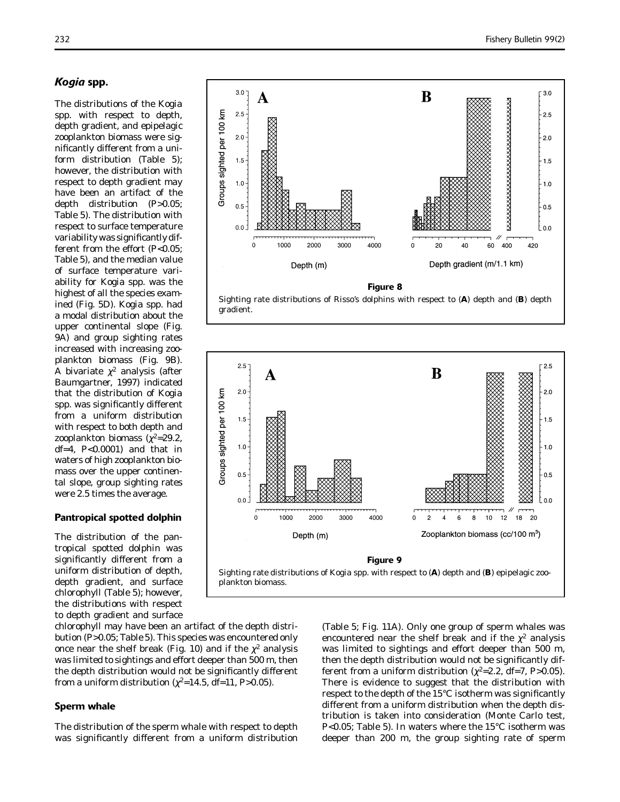# *Kogia* **spp.**

The distributions of the *Kogia* spp. with respect to depth, depth gradient, and epipelagic zooplankton biomass were significantly different from a uniform distribution (Table 5); however, the distribution with respect to depth gradient may have been an artifact of the depth distribution (*P*>0.05; Table 5). The distribution with respect to surface temperature variability was significantly different from the effort (*P*<0.05; Table 5), and the median value of surface temperature variability for *Kogia* spp. was the highest of all the species examined (Fig. 5D). *Kogia* spp. had a modal distribution about the upper continental slope (Fig. 9A) and group sighting rates increased with increasing zooplankton biomass (Fig. 9B). A bivariate  $\chi^2$  analysis (after Baumgartner, 1997) indicated that the distribution of *Kogia* spp. was significantly different from a uniform distribution with respect to both depth and zooplankton biomass ( $\chi^2$ =29.2, df=4, *P*<0.0001) and that in waters of high zooplankton biomass over the upper continental slope, group sighting rates were 2.5 times the average.

# **Pantropical spotted dolphin**

The distribution of the pantropical spotted dolphin was significantly different from a uniform distribution of depth, depth gradient, and surface chlorophyll (Table 5); however, the distributions with respect to depth gradient and surface



Sighting rate distributions of Risso's dolphins with respect to (**A**) depth and (**B**) depth gradient.



chlorophyll may have been an artifact of the depth distribution (*P*>0.05; Table 5). This species was encountered only once near the shelf break (Fig. 10) and if the  $\chi^2$  analysis was limited to sightings and effort deeper than 500 m, then the depth distribution would not be significantly different from a uniform distribution ( $\chi^2$ =14.5, df=11, *P*>0.05).

# **Sperm whale**

The distribution of the sperm whale with respect to depth was significantly different from a uniform distribution

(Table 5; Fig. 11A). Only one group of sperm whales was encountered near the shelf break and if the  $\chi^2$  analysis was limited to sightings and effort deeper than 500 m, then the depth distribution would not be significantly different from a uniform distribution ( $\chi^2$ =2.2, df=7, P>0.05). There is evidence to suggest that the distribution with respect to the depth of the 15°C isotherm was significantly different from a uniform distribution when the depth distribution is taken into consideration (Monte Carlo test, *P*<0.05; Table 5). In waters where the 15°C isotherm was deeper than 200 m, the group sighting rate of sperm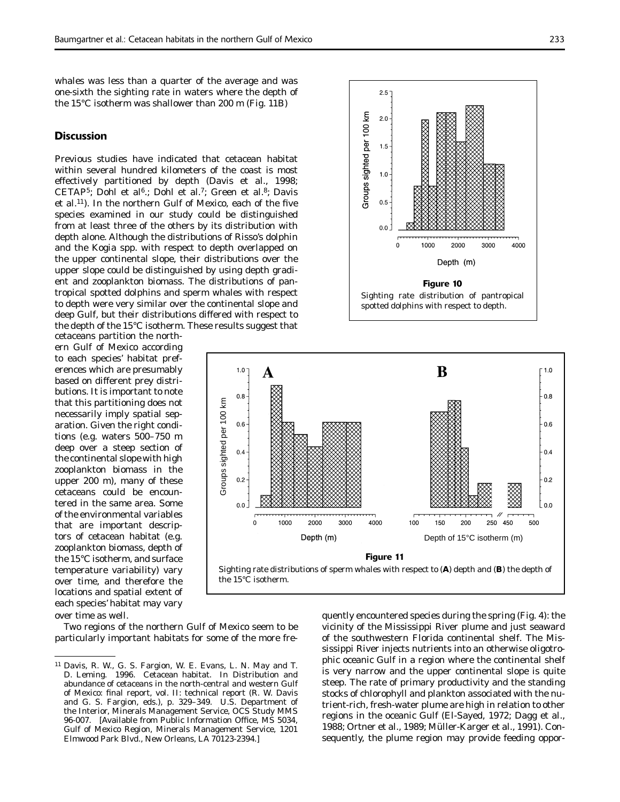whales was less than a quarter of the average and was one-sixth the sighting rate in waters where the depth of the 15°C isotherm was shallower than 200 m (Fig. 11B)

### **Discussion**

Previous studies have indicated that cetacean habitat within several hundred kilometers of the coast is most effectively partitioned by depth (Davis et al., 1998; CETAP<sup>5</sup>; Dohl et al<sup>6</sup>.; Dohl et al.<sup>7</sup>; Green et al.<sup>8</sup>; Davis et al.<sup>11</sup>). In the northern Gulf of Mexico, each of the five species examined in our study could be distinguished from at least three of the others by its distribution with depth alone. Although the distributions of Risso's dolphin and the *Kogia* spp. with respect to depth overlapped on the upper continental slope, their distributions over the upper slope could be distinguished by using depth gradient and zooplankton biomass. The distributions of pantropical spotted dolphins and sperm whales with respect to depth were very similar over the continental slope and deep Gulf, but their distributions differed with respect to the depth of the 15°C isotherm. These results suggest that

cetaceans partition the northern Gulf of Mexico according to each species' habitat preferences which are presumably based on different prey distributions. It is important to note that this partitioning does not necessarily imply spatial separation. Given the right conditions (e.g. waters 500–750 m deep over a steep section of the continental slope with high zooplankton biomass in the upper 200 m), many of these cetaceans could be encountered in the same area. Some of the environmental variables that are important descriptors of cetacean habitat (e.g. zooplankton biomass, depth of the 15°C isotherm, and surface temperature variability) vary over time, and therefore the locations and spatial extent of each species' habitat may vary over time as well.





Two regions of the northern Gulf of Mexico seem to be particularly important habitats for some of the more fre-

quently encountered species during the spring (Fig. 4): the vicinity of the Mississippi River plume and just seaward of the southwestern Florida continental shelf. The Mississippi River injects nutrients into an otherwise oligotrophic oceanic Gulf in a region where the continental shelf is very narrow and the upper continental slope is quite steep. The rate of primary productivity and the standing stocks of chlorophyll and plankton associated with the nutrient-rich, fresh-water plume are high in relation to other regions in the oceanic Gulf (El-Sayed, 1972; Dagg et al., 1988; Ortner et al., 1989; Müller-Karger et al., 1991). Consequently, the plume region may provide feeding oppor-

<sup>11</sup> Davis, R. W., G. S. Fargion, W. E. Evans, L. N. May and T. D. Leming. 1996. Cetacean habitat. *In* Distribution and abundance of cetaceans in the north-central and western Gulf of Mexico: final report, vol. II: technical report (R. W. Davis and G. S. Fargion, eds.), p. 329–349. U.S. Department of the Interior, Minerals Management Service, OCS Study MMS 96-007. [Available from Public Information Office, MS 5034, Gulf of Mexico Region, Minerals Management Service, 1201 Elmwood Park Blvd., New Orleans, LA 70123-2394.]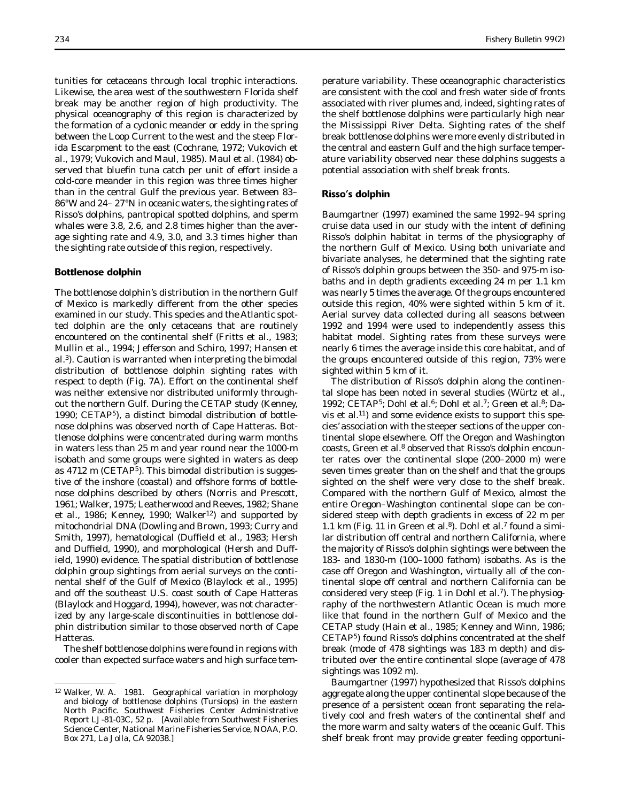tunities for cetaceans through local trophic interactions. Likewise, the area west of the southwestern Florida shelf break may be another region of high productivity. The physical oceanography of this region is characterized by the formation of a cyclonic meander or eddy in the spring between the Loop Current to the west and the steep Florida Escarpment to the east (Cochrane, 1972; Vukovich et al., 1979; Vukovich and Maul, 1985). Maul et al. (1984) observed that bluefin tuna catch per unit of effort inside a cold-core meander in this region was three times higher than in the central Gulf the previous year. Between 83– 86°W and 24– 27°N in oceanic waters, the sighting rates of Risso's dolphins, pantropical spotted dolphins, and sperm whales were 3.8, 2.6, and 2.8 times higher than the average sighting rate and 4.9, 3.0, and 3.3 times higher than the sighting rate outside of this region, respectively.

### **Bottlenose dolphin**

The bottlenose dolphin's distribution in the northern Gulf of Mexico is markedly different from the other species examined in our study. This species and the Atlantic spotted dolphin are the only cetaceans that are routinely encountered on the continental shelf (Fritts et al., 1983; Mullin et al., 1994; Jefferson and Schiro, 1997; Hansen et al.3). Caution is warranted when interpreting the bimodal distribution of bottlenose dolphin sighting rates with respect to depth (Fig. 7A). Effort on the continental shelf was neither extensive nor distributed uniformly throughout the northern Gulf. During the CETAP study (Kenney, 1990; CETAP5), a distinct bimodal distribution of bottlenose dolphins was observed north of Cape Hatteras. Bottlenose dolphins were concentrated during warm months in waters less than 25 m and year round near the 1000-m isobath and some groups were sighted in waters as deep as 4712 m (CETAP<sup>5</sup>). This bimodal distribution is suggestive of the inshore (coastal) and offshore forms of bottlenose dolphins described by others (Norris and Prescott, 1961; Walker, 1975; Leatherwood and Reeves, 1982; Shane et al., 1986; Kenney, 1990; Walker<sup>12</sup>) and supported by mitochondrial DNA (Dowling and Brown, 1993; Curry and Smith, 1997), hematological (Duffield et al., 1983; Hersh and Duffield, 1990), and morphological (Hersh and Duffield, 1990) evidence. The spatial distribution of bottlenose dolphin group sightings from aerial surveys on the continental shelf of the Gulf of Mexico (Blaylock et al., 1995) and off the southeast U.S. coast south of Cape Hatteras (Blaylock and Hoggard, 1994), however, was not characterized by any large-scale discontinuities in bottlenose dolphin distribution similar to those observed north of Cape Hatteras.

The shelf bottlenose dolphins were found in regions with cooler than expected surface waters and high surface temperature variability. These oceanographic characteristics are consistent with the cool and fresh water side of fronts associated with river plumes and, indeed, sighting rates of the shelf bottlenose dolphins were particularly high near the Mississippi River Delta. Sighting rates of the shelf break bottlenose dolphins were more evenly distributed in the central and eastern Gulf and the high surface temperature variability observed near these dolphins suggests a potential association with shelf break fronts.

### **Risso's dolphin**

Baumgartner (1997) examined the same 1992–94 spring cruise data used in our study with the intent of defining Risso's dolphin habitat in terms of the physiography of the northern Gulf of Mexico. Using both univariate and bivariate analyses, he determined that the sighting rate of Risso's dolphin groups between the 350- and 975-m isobaths and in depth gradients exceeding 24 m per 1.1 km was nearly 5 times the average. Of the groups encountered outside this region, 40% were sighted within 5 km of it. Aerial survey data collected during all seasons between 1992 and 1994 were used to independently assess this habitat model. Sighting rates from these surveys were nearly 6 times the average inside this core habitat, and of the groups encountered outside of this region, 73% were sighted within 5 km of it.

The distribution of Risso's dolphin along the continental slope has been noted in several studies (Würtz et al., 1992; CETAP<sup>5</sup>; Dohl et al.<sup>6</sup>; Dohl et al.<sup>7</sup>; Green et al.<sup>8</sup>; Davis et al.11) and some evidence exists to support this species' association with the steeper sections of the upper continental slope elsewhere. Off the Oregon and Washington coasts, Green et al.<sup>8</sup> observed that Risso's dolphin encounter rates over the continental slope (200–2000 m) were seven times greater than on the shelf and that the groups sighted on the shelf were very close to the shelf break. Compared with the northern Gulf of Mexico, almost the entire Oregon–Washington continental slope can be considered steep with depth gradients in excess of 22 m per 1.1 km (Fig. 11 in Green et al.<sup>8</sup>). Dohl et al.<sup>7</sup> found a similar distribution off central and northern California, where the majority of Risso's dolphin sightings were between the 183- and 1830-m (100–1000 fathom) isobaths. As is the case off Oregon and Washington, virtually all of the continental slope off central and northern California can be considered very steep (Fig. 1 in Dohl et al.<sup>7</sup>). The physiography of the northwestern Atlantic Ocean is much more like that found in the northern Gulf of Mexico and the CETAP study (Hain et al., 1985; Kenney and Winn, 1986; CETAP5) found Risso's dolphins concentrated at the shelf break (mode of 478 sightings was 183 m depth) and distributed over the entire continental slope (average of 478 sightings was 1092 m).

Baumgartner (1997) hypothesized that Risso's dolphins aggregate along the upper continental slope because of the presence of a persistent ocean front separating the relatively cool and fresh waters of the continental shelf and the more warm and salty waters of the oceanic Gulf. This shelf break front may provide greater feeding opportuni-

<sup>12</sup> Walker, W. A. 1981. Geographical variation in morphology and biology of bottlenose dolphins (*Tursiops*) in the eastern North Pacific. Southwest Fisheries Center Administrative Report LJ-81-03C, 52 p. [Available from Southwest Fisheries Science Center, National Marine Fisheries Service, NOAA, P.O. Box 271, La Jolla, CA 92038.]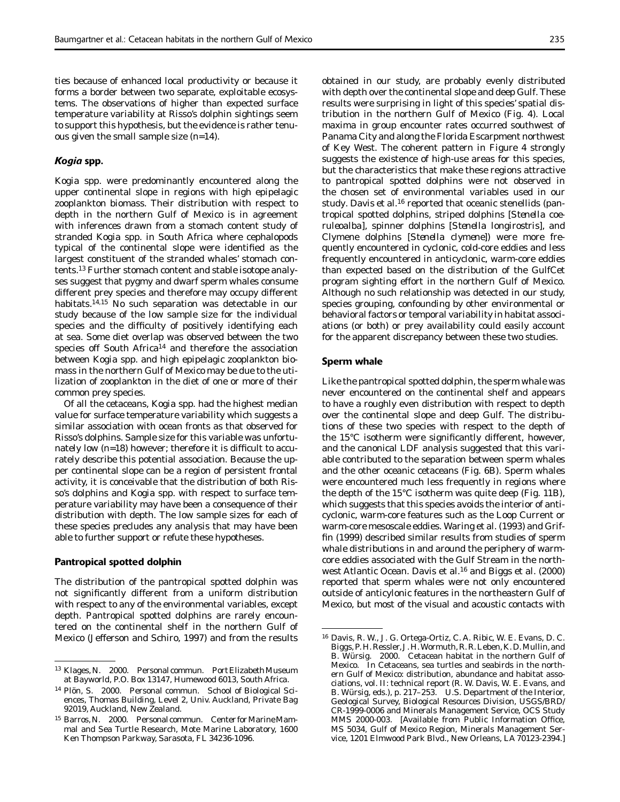ties because of enhanced local productivity or because it forms a border between two separate, exploitable ecosystems. The observations of higher than expected surface temperature variability at Risso's dolphin sightings seem to support this hypothesis, but the evidence is rather tenuous given the small sample size (*n*=14).

# *Kogia* **spp.**

*Kogia* spp. were predominantly encountered along the upper continental slope in regions with high epipelagic zooplankton biomass. Their distribution with respect to depth in the northern Gulf of Mexico is in agreement with inferences drawn from a stomach content study of stranded *Kogia* spp. in South Africa where cephalopods typical of the continental slope were identified as the largest constituent of the stranded whales' stomach contents.13 Further stomach content and stable isotope analyses suggest that pygmy and dwarf sperm whales consume different prey species and therefore may occupy different habitats.14,15 No such separation was detectable in our study because of the low sample size for the individual species and the difficulty of positively identifying each at sea. Some diet overlap was observed between the two species off South Africa<sup>14</sup> and therefore the association between *Kogia* spp. and high epipelagic zooplankton biomass in the northern Gulf of Mexico may be due to the utilization of zooplankton in the diet of one or more of their common prey species.

Of all the cetaceans, *Kogia* spp. had the highest median value for surface temperature variability which suggests a similar association with ocean fronts as that observed for Risso's dolphins. Sample size for this variable was unfortunately low  $(n=18)$  however; therefore it is difficult to accurately describe this potential association. Because the upper continental slope can be a region of persistent frontal activity, it is conceivable that the distribution of both Risso's dolphins and *Kogia* spp. with respect to surface temperature variability may have been a consequence of their distribution with depth. The low sample sizes for each of these species precludes any analysis that may have been able to further support or refute these hypotheses.

## **Pantropical spotted dolphin**

The distribution of the pantropical spotted dolphin was not significantly different from a uniform distribution with respect to any of the environmental variables, except depth. Pantropical spotted dolphins are rarely encountered on the continental shelf in the northern Gulf of Mexico (Jefferson and Schiro, 1997) and from the results

obtained in our study, are probably evenly distributed with depth over the continental slope and deep Gulf. These results were surprising in light of this species' spatial distribution in the northern Gulf of Mexico (Fig. 4). Local maxima in group encounter rates occurred southwest of Panama City and along the Florida Escarpment northwest of Key West. The coherent pattern in Figure 4 strongly suggests the existence of high-use areas for this species, but the characteristics that make these regions attractive to pantropical spotted dolphins were not observed in the chosen set of environmental variables used in our study. Davis et al.<sup>16</sup> reported that oceanic stenellids (pantropical spotted dolphins, striped dolphins [*Stenella coeruleoalba*], spinner dolphins [*Stenella longirostris*], and Clymene dolphins [*Stenella clymene*]) were more frequently encountered in cyclonic, cold-core eddies and less frequently encountered in anticyclonic, warm-core eddies than expected based on the distribution of the GulfCet program sighting effort in the northern Gulf of Mexico. Although no such relationship was detected in our study, species grouping, confounding by other environmental or behavioral factors or temporal variability in habitat associations (or both) or prey availability could easily account for the apparent discrepancy between these two studies.

### **Sperm whale**

Like the pantropical spotted dolphin, the sperm whale was never encountered on the continental shelf and appears to have a roughly even distribution with respect to depth over the continental slope and deep Gulf. The distributions of these two species with respect to the depth of the  $15^{\circ}$ C isotherm were significantly different, however, and the canonical LDF analysis suggested that this variable contributed to the separation between sperm whales and the other oceanic cetaceans (Fig. 6B). Sperm whales were encountered much less frequently in regions where the depth of the 15°C isotherm was quite deep (Fig. 11B), which suggests that this species avoids the interior of anticyclonic, warm-core features such as the Loop Current or warm-core mesoscale eddies. Waring et al. (1993) and Griffin (1999) described similar results from studies of sperm whale distributions in and around the periphery of warmcore eddies associated with the Gulf Stream in the northwest Atlantic Ocean. Davis et al.<sup>16</sup> and Biggs et al.  $(2000)$ reported that sperm whales were not only encountered outside of anticylonic features in the northeastern Gulf of Mexico, but most of the visual and acoustic contacts with

<sup>13</sup> Klages, N. 2000. Personal commun. Port Elizabeth Museum at Bayworld, P.O. Box 13147, Humewood 6013, South Africa.

<sup>14</sup> Plön, S. 2000. Personal commun. School of Biological Sciences, Thomas Building, Level 2, Univ. Auckland, Private Bag 92019, Auckland, New Zealand.

<sup>&</sup>lt;sup>15</sup> Barros, N. 2000. Personal commun. Center for Marine Mammal and Sea Turtle Research, Mote Marine Laboratory, 1600 Ken Thompson Parkway, Sarasota, FL 34236-1096.

<sup>16</sup> Davis, R. W., J. G. Ortega-Ortiz, C. A. Ribic, W. E. Evans, D. C. Biggs, P. H. Ressler, J. H. Wormuth, R. R. Leben, K. D. Mullin, and B. Würsig. 2000. Cetacean habitat in the northern Gulf of Mexico. *In* Cetaceans, sea turtles and seabirds in the northern Gulf of Mexico: distribution, abundance and habitat associations, vol. II: technical report (R. W. Davis, W. E. Evans, and B. Würsig, eds.), p. 217–253. U.S. Department of the Interior, Geological Survey, Biological Resources Division, USGS/BRD/ CR-1999-0006 and Minerals Management Service, OCS Study MMS 2000-003. [Available from Public Information Office, MS 5034, Gulf of Mexico Region, Minerals Management Service, 1201 Elmwood Park Blvd., New Orleans, LA 70123-2394.]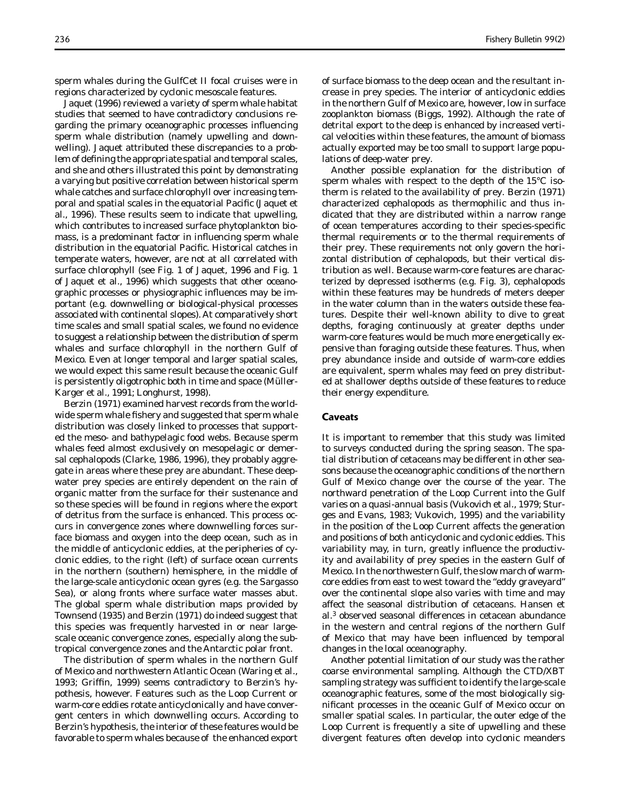sperm whales during the GulfCet II focal cruises were in regions characterized by cyclonic mesoscale features.

Jaquet (1996) reviewed a variety of sperm whale habitat studies that seemed to have contradictory conclusions regarding the primary oceanographic processes influencing sperm whale distribution (namely upwelling and downwelling). Jaquet attributed these discrepancies to a problem of defining the appropriate spatial and temporal scales, and she and others illustrated this point by demonstrating a varying but positive correlation between historical sperm whale catches and surface chlorophyll over increasing temporal and spatial scales in the equatorial Pacific (Jaquet et al., 1996). These results seem to indicate that upwelling, which contributes to increased surface phytoplankton biomass, is a predominant factor in influencing sperm whale distribution in the equatorial Pacific. Historical catches in temperate waters, however, are not at all correlated with surface chlorophyll (see Fig. 1 of Jaquet, 1996 and Fig. 1 of Jaquet et al., 1996) which suggests that other oceanographic processes or physiographic influences may be important (e.g. downwelling or biological-physical processes associated with continental slopes). At comparatively short time scales and small spatial scales, we found no evidence to suggest a relationship between the distribution of sperm whales and surface chlorophyll in the northern Gulf of Mexico. Even at longer temporal and larger spatial scales, we would expect this same result because the oceanic Gulf is persistently oligotrophic both in time and space (Müller-Karger et al., 1991; Longhurst, 1998).

Berzin (1971) examined harvest records from the worldwide sperm whale fishery and suggested that sperm whale distribution was closely linked to processes that supported the meso- and bathypelagic food webs. Because sperm whales feed almost exclusively on mesopelagic or demersal cephalopods (Clarke, 1986, 1996), they probably aggregate in areas where these prey are abundant. These deepwater prey species are entirely dependent on the rain of organic matter from the surface for their sustenance and so these species will be found in regions where the export of detritus from the surface is enhanced. This process occurs in convergence zones where downwelling forces surface biomass and oxygen into the deep ocean, such as in the middle of anticyclonic eddies, at the peripheries of cyclonic eddies, to the right (left) of surface ocean currents in the northern (southern) hemisphere, in the middle of the large-scale anticyclonic ocean gyres (e.g. the Sargasso Sea), or along fronts where surface water masses abut. The global sperm whale distribution maps provided by Townsend (1935) and Berzin (1971) do indeed suggest that this species was frequently harvested in or near largescale oceanic convergence zones, especially along the subtropical convergence zones and the Antarctic polar front.

The distribution of sperm whales in the northern Gulf of Mexico and northwestern Atlantic Ocean (Waring et al., 1993; Griffin, 1999) seems contradictory to Berzin's hypothesis, however. Features such as the Loop Current or warm-core eddies rotate anticyclonically and have convergent centers in which downwelling occurs. According to Berzin's hypothesis, the interior of these features would be favorable to sperm whales because of the enhanced export

of surface biomass to the deep ocean and the resultant increase in prey species. The interior of anticyclonic eddies in the northern Gulf of Mexico are, however, low in surface zooplankton biomass (Biggs, 1992). Although the rate of detrital export to the deep is enhanced by increased vertical velocities within these features, the amount of biomass actually exported may be too small to support large populations of deep-water prey.

Another possible explanation for the distribution of sperm whales with respect to the depth of the 15°C isotherm is related to the availability of prey. Berzin (1971) characterized cephalopods as thermophilic and thus indicated that they are distributed within a narrow range of ocean temperatures according to their species-specific thermal requirements or to the thermal requirements of their prey. These requirements not only govern the horizontal distribution of cephalopods, but their vertical distribution as well. Because warm-core features are characterized by depressed isotherms (e.g. Fig. 3), cephalopods within these features may be hundreds of meters deeper in the water column than in the waters outside these features. Despite their well-known ability to dive to great depths, foraging continuously at greater depths under warm-core features would be much more energetically expensive than foraging outside these features. Thus, when prey abundance inside and outside of warm-core eddies are equivalent, sperm whales may feed on prey distributed at shallower depths outside of these features to reduce their energy expenditure.

# **Caveats**

It is important to remember that this study was limited to surveys conducted during the spring season. The spatial distribution of cetaceans may be different in other seasons because the oceanographic conditions of the northern Gulf of Mexico change over the course of the year. The northward penetration of the Loop Current into the Gulf varies on a quasi-annual basis (Vukovich et al., 1979; Sturges and Evans, 1983; Vukovich, 1995) and the variability in the position of the Loop Current affects the generation and positions of both anticyclonic and cyclonic eddies. This variability may, in turn, greatly influence the productivity and availability of prey species in the eastern Gulf of Mexico. In the northwestern Gulf, the slow march of warmcore eddies from east to west toward the "eddy graveyard" over the continental slope also varies with time and may affect the seasonal distribution of cetaceans. Hansen et al.3 observed seasonal differences in cetacean abundance in the western and central regions of the northern Gulf of Mexico that may have been influenced by temporal changes in the local oceanography.

Another potential limitation of our study was the rather coarse environmental sampling. Although the CTD/XBT sampling strategy was sufficient to identify the large-scale oceanographic features, some of the most biologically significant processes in the oceanic Gulf of Mexico occur on smaller spatial scales. In particular, the outer edge of the Loop Current is frequently a site of upwelling and these divergent features often develop into cyclonic meanders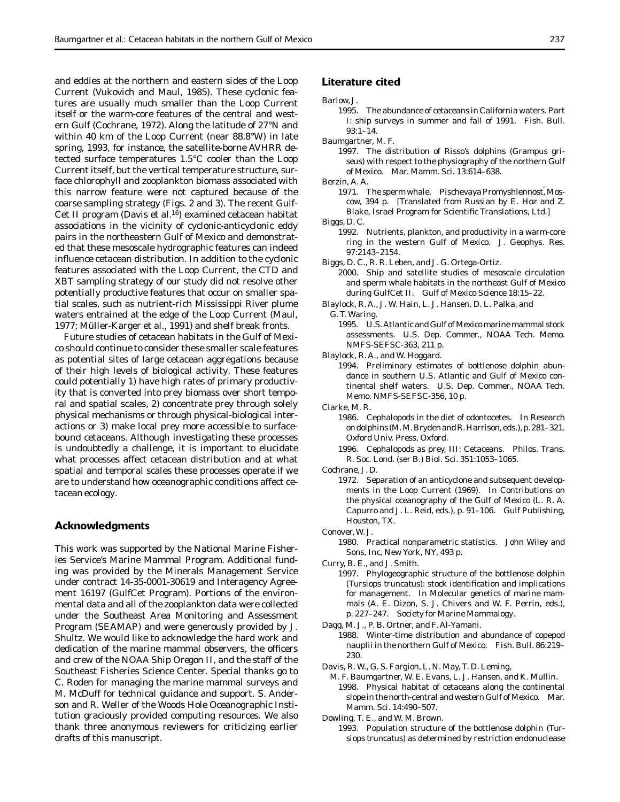and eddies at the northern and eastern sides of the Loop Current (Vukovich and Maul, 1985). These cyclonic features are usually much smaller than the Loop Current itself or the warm-core features of the central and western Gulf (Cochrane, 1972). Along the latitude of 27°N and within 40 km of the Loop Current (near 88.8°W) in late spring, 1993, for instance, the satellite-borne AVHRR detected surface temperatures 1.5°C cooler than the Loop Current itself, but the vertical temperature structure, surface chlorophyll and zooplankton biomass associated with this narrow feature were not captured because of the coarse sampling strategy (Figs. 2 and 3). The recent Gulf-Cet II program (Davis et al.16) examined cetacean habitat associations in the vicinity of cyclonic-anticyclonic eddy pairs in the northeastern Gulf of Mexico and demonstrated that these mesoscale hydrographic features can indeed influence cetacean distribution. In addition to the cyclonic features associated with the Loop Current, the CTD and XBT sampling strategy of our study did not resolve other potentially productive features that occur on smaller spatial scales, such as nutrient-rich Mississippi River plume waters entrained at the edge of the Loop Current (Maul, 1977; Müller-Karger et al., 1991) and shelf break fronts.

Future studies of cetacean habitats in the Gulf of Mexico should continue to consider these smaller scale features as potential sites of large cetacean aggregations because of their high levels of biological activity. These features could potentially 1) have high rates of primary productivity that is converted into prey biomass over short temporal and spatial scales, 2) concentrate prey through solely physical mechanisms or through physical-biological interactions or 3) make local prey more accessible to surfacebound cetaceans. Although investigating these processes is undoubtedly a challenge, it is important to elucidate what processes affect cetacean distribution and at what spatial and temporal scales these processes operate if we are to understand how oceanographic conditions affect cetacean ecology.

## **Acknowledgments**

This work was supported by the National Marine Fisheries Service's Marine Mammal Program. Additional funding was provided by the Minerals Management Service under contract 14-35-0001-30619 and Interagency Agreement 16197 (GulfCet Program). Portions of the environmental data and all of the zooplankton data were collected under the Southeast Area Monitoring and Assessment Program (SEAMAP) and were generously provided by J. Shultz. We would like to acknowledge the hard work and dedication of the marine mammal observers, the officers and crew of the NOAA Ship *Oregon II,* and the staff of the Southeast Fisheries Science Center. Special thanks go to C. Roden for managing the marine mammal surveys and M. McDuff for technical guidance and support. S. Anderson and R. Weller of the Woods Hole Oceanographic Institution graciously provided computing resources. We also thank three anonymous reviewers for criticizing earlier drafts of this manuscript.

# **Literature cited**

Barlow, J.

1995. The abundance of cetaceans in California waters. Part I: ship surveys in summer and fall of 1991. Fish. Bull. 93:1–14.

Baumgartner, M. F.

1997. The distribution of Risso's dolphins (*Grampus griseus*) with respect to the physiography of the northern Gulf of Mexico. Mar. Mamm. Sci. 13:614–638.

Berzin, A. A.

- 1971. The sperm whale. Pischevaya Promyshlennost, Moscow, 394 p. [Translated from Russian by E. Hoz and Z. Blake, Israel Program for Scientific Translations, Ltd.] Biggs, D. C.
	- 1992. Nutrients, plankton, and productivity in a warm-core ring in the western Gulf of Mexico. J. Geophys. Res. 97:2143–2154.
- Biggs, D. C., R. R. Leben, and J. G. Ortega-Ortiz.
	- 2000. Ship and satellite studies of mesoscale circulation and sperm whale habitats in the northeast Gulf of Mexico during GulfCet II. Gulf of Mexico Science 18:15–22.
- Blaylock, R. A., J. W. Hain, L. J. Hansen, D. L. Palka, and G. T. Waring.
	- 1995. U.S. Atlantic and Gulf of Mexico marine mammal stock assessments. U.S. Dep. Commer., NOAA Tech. Memo. NMFS-SEFSC-363, 211 p.
- Blaylock, R. A., and W. Hoggard.
	- 1994. Preliminary estimates of bottlenose dolphin abundance in southern U.S. Atlantic and Gulf of Mexico continental shelf waters. U.S. Dep. Commer., NOAA Tech. Memo. NMFS-SEFSC-356, 10 p.

Clarke, M. R.

1986. Cephalopods in the diet of odontocetes. *In* Research on dolphins (M. M. Bryden and R. Harrison, eds.), p. 281–321. Oxford Univ. Press, Oxford.

1996. Cephalopods as prey, III: Cetaceans. Philos. Trans. R. Soc. Lond. (ser B.) Biol. Sci. 351:1053–1065.

Cochrane, J. D.

- 1972. Separation of an anticyclone and subsequent developments in the Loop Current (1969). *In* Contributions on the physical oceanography of the Gulf of Mexico (L. R. A. Capurro and J. L. Reid, eds.), p. 91–106. Gulf Publishing, Houston, TX.
- Conover, W. J.
	- 1980. Practical nonparametric statistics. John Wiley and Sons, Inc, New York, NY, 493 p.
- Curry, B. E., and J. Smith.
	- 1997. Phylogeographic structure of the bottlenose dolphin (*Tursiops truncatus*): stock identification and implications for management. *In* Molecular genetics of marine mammals (A. E. Dizon, S. J. Chivers and W. F. Perrin, eds.), p. 227–247. Society for Marine Mammalogy.
- Dagg, M. J., P. B. Ortner, and F. Al-Yamani.
	- 1988. Winter-time distribution and abundance of copepod nauplii in the northern Gulf of Mexico. Fish. Bull. 86:219– 230.
- Davis, R. W., G. S. Fargion, L. N. May, T. D. Leming,
- M. F. Baumgartner, W. E. Evans, L. J. Hansen, and K. Mullin. 1998. Physical habitat of cetaceans along the continental slope in the north-central and western Gulf of Mexico. Mar. Mamm. Sci. 14:490–507.

Dowling, T. E., and W. M. Brown.

1993. Population structure of the bottlenose dolphin (*Tursiops truncatus*) as determined by restriction endonuclease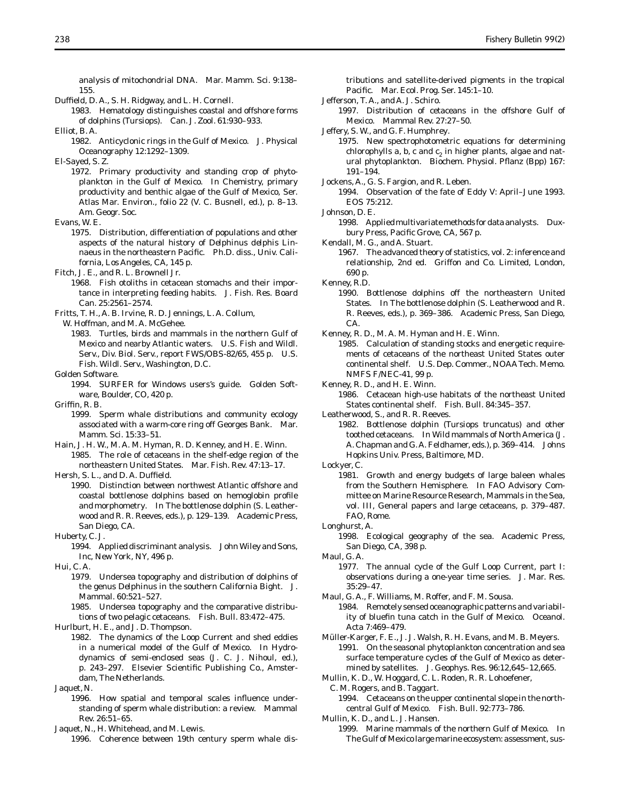analysis of mitochondrial DNA. Mar. Mamm. Sci. 9:138– 155.

- Duffield, D. A., S. H. Ridgway, and L. H. Cornell.
- 1983. Hematology distinguishes coastal and offshore forms of dolphins (*Tursiops*). Can. J. Zool. 61:930–933.

Elliot, B. A.

1982. Anticyclonic rings in the Gulf of Mexico. J. Physical Oceanography 12:1292–1309.

El-Sayed, S. Z.

- 1972. Primary productivity and standing crop of phytoplankton in the Gulf of Mexico. *In* Chemistry, primary productivity and benthic algae of the Gulf of Mexico, Ser. Atlas Mar. Environ., folio 22 (V. C. Busnell, ed.), p. 8–13. Am. Geogr. Soc.
- Evans, W. E.
	- 1975. Distribution, differentiation of populations and other aspects of the natural history of *Delphinus delphis* Linnaeus in the northeastern Pacific. Ph.D. diss., Univ. California, Los Angeles, CA, 145 p.
- Fitch, J. E., and R. L. Brownell Jr.
	- 1968. Fish otoliths in cetacean stomachs and their importance in interpreting feeding habits. J. Fish. Res. Board Can. 25:2561–2574.
- Fritts, T. H., A. B. Irvine, R. D. Jennings, L. A. Collum,
- W. Hoffman, and M. A. McGehee.
	- 1983. Turtles, birds and mammals in the northern Gulf of Mexico and nearby Atlantic waters. U.S. Fish and Wildl. Serv., Div. Biol. Serv., report FWS/OBS-82/65, 455 p. U.S. Fish. Wildl. Serv., Washington, D.C.
- Golden Software.
	- 1994. SURFER for Windows users's guide. Golden Software, Boulder, CO, 420 p.

 $Criffin R$  R.

- 1999. Sperm whale distributions and community ecology associated with a warm-core ring off Georges Bank. Mar. Mamm. Sci. 15:33–51.
- Hain, J. H. W., M. A. M. Hyman, R. D. Kenney, and H. E. Winn. 1985. The role of cetaceans in the shelf-edge region of the northeastern United States. Mar. Fish. Rev. 47:13–17.

Hersh, S. L., and D. A. Duffield.

- 1990. Distinction between northwest Atlantic offshore and coastal bottlenose dolphins based on hemoglobin profile and morphometry. *In* The bottlenose dolphin (S. Leatherwood and R. R. Reeves, eds.), p. 129–139. Academic Press, San Diego, CA.
- Huberty, C. J.
	- 1994. Applied discriminant analysis. John Wiley and Sons, Inc, New York, NY, 496 p.
- Hui, C. A.
	- 1979. Undersea topography and distribution of dolphins of the genus *Delphinus* in the southern California Bight. J. Mammal. 60:521–527.
	- 1985. Undersea topography and the comparative distributions of two pelagic cetaceans. Fish. Bull. 83:472–475.
- Hurlburt, H. E., and J. D. Thompson.
	- 1982. The dynamics of the Loop Current and shed eddies in a numerical model of the Gulf of Mexico. *In* Hydrodynamics of semi-enclosed seas (J. C. J. Nihoul, ed.), p. 243-297. Elsevier Scientific Publishing Co., Amsterdam, The Netherlands.
- Jaquet, N.
	- 1996. How spatial and temporal scales influence understanding of sperm whale distribution: a review. Mammal Rev. 26:51–65.

Jaquet, N., H. Whitehead, and M. Lewis.

1996. Coherence between 19th century sperm whale dis-

tributions and satellite-derived pigments in the tropical Pacific. Mar. Ecol. Prog. Ser. 145:1-10.

- Jefferson, T. A., and A. J. Schiro.
- 1997. Distribution of cetaceans in the offshore Gulf of Mexico. Mammal Rev. 27:27–50.
- Jeffery, S. W., and G. F. Humphrey.
	- 1975. New spectrophotometric equations for determining chlorophylls  $a$ ,  $b$ ,  $c$  and  $c$ , in higher plants, algae and natural phytoplankton. Biochem. Physiol. Pflanz (Bpp) 167: 191–194.
- Jockens, A., G. S. Fargion, and R. Leben.
- 1994. Observation of the fate of Eddy V: April–June 1993. EOS 75:212.

Johnson, D. E.

1998. Applied multivariate methods for data analysts. Duxbury Press, Pacific Grove, CA, 567 p.

Kendall, M. G., and A. Stuart.

1967. The advanced theory of statistics, vol. 2: inference and relationship, 2nd ed. Griffon and Co. Limited, London, 690 p.

Kenney, R.D.

1990. Bottlenose dolphins off the northeastern United States. *In* The bottlenose dolphin (S. Leatherwood and R. R. Reeves, eds.), p. 369–386. Academic Press, San Diego, CA.

Kenney, R. D., M. A. M. Hyman and H. E. Winn.

- 1985. Calculation of standing stocks and energetic requirements of cetaceans of the northeast United States outer continental shelf. U.S. Dep. Commer., NOAA Tech. Memo. NMFS F/NEC-41, 99 p.
- Kenney, R. D., and H. E. Winn.
- 1986. Cetacean high-use habitats of the northeast United States continental shelf. Fish. Bull. 84:345–357.

Leatherwood, S., and R. R. Reeves.

1982. Bottlenose dolphin (*Tursiops truncatus*) and other toothed cetaceans. *In* Wild mammals of North America (J. A. Chapman and G. A. Feldhamer, eds.), p. 369–414. Johns Hopkins Univ. Press, Baltimore, MD.

Lockyer, C.

- 1981. Growth and energy budgets of large baleen whales from the Southern Hemisphere. *In* FAO Advisory Committee on Marine Resource Research, Mammals in the Sea, vol. III, General papers and large cetaceans, p. 379–487. FAO, Rome.
- Longhurst, A.
	- 1998. Ecological geography of the sea. Academic Press, San Diego, CA, 398 p.
- Maul, G. A.
	- 1977. The annual cycle of the Gulf Loop Current, part I: observations during a one-year time series. J. Mar. Res. 35:29–47.

Maul, G. A., F. Williams, M. Roffer, and F. M. Sousa.

- 1984. Remotely sensed oceanographic patterns and variability of bluefin tuna catch in the Gulf of Mexico. Oceanol. Acta 7:469–479.
- Müller-Karger, F. E., J. J. Walsh, R. H. Evans, and M. B. Meyers. 1991. On the seasonal phytoplankton concentration and sea surface temperature cycles of the Gulf of Mexico as determined by satellites. J. Geophys. Res. 96:12,645–12,665.
- Mullin, K. D., W. Hoggard, C. L. Roden, R. R. Lohoefener,

C. M. Rogers, and B. Taggart. 1994. Cetaceans on the upper continental slope in the northcentral Gulf of Mexico. Fish. Bull. 92:773–786.

Mullin, K. D., and L. J. Hansen.

1999. Marine mammals of the northern Gulf of Mexico. *In* The Gulf of Mexico large marine ecosystem: assessment, sus-